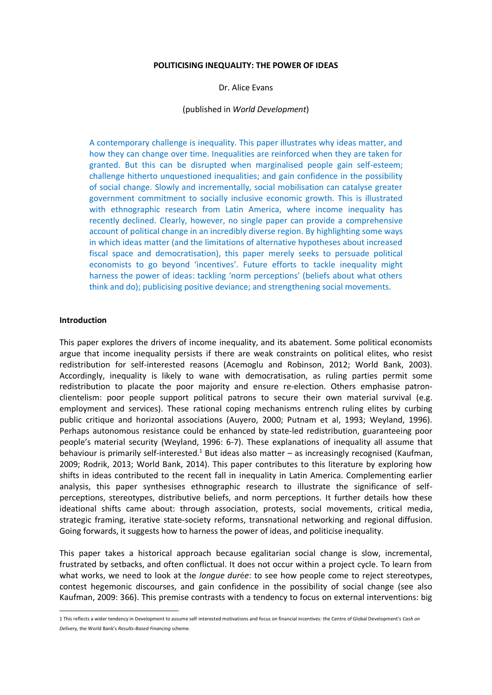#### **POLITICISING INEQUALITY: THE POWER OF IDEAS**

Dr. Alice Evans

#### (published in *World Development*)

A contemporary challenge is inequality. This paper illustrates why ideas matter, and how they can change over time. Inequalities are reinforced when they are taken for granted. But this can be disrupted when marginalised people gain self-esteem; challenge hitherto unquestioned inequalities; and gain confidence in the possibility of social change. Slowly and incrementally, social mobilisation can catalyse greater government commitment to socially inclusive economic growth. This is illustrated with ethnographic research from Latin America, where income inequality has recently declined. Clearly, however, no single paper can provide a comprehensive account of political change in an incredibly diverse region. By highlighting some ways in which ideas matter (and the limitations of alternative hypotheses about increased fiscal space and democratisation), this paper merely seeks to persuade political economists to go beyond 'incentives'. Future efforts to tackle inequality might harness the power of ideas: tackling 'norm perceptions' (beliefs about what others think and do); publicising positive deviance; and strengthening social movements.

#### **Introduction**

-

This paper explores the drivers of income inequality, and its abatement. Some political economists argue that income inequality persists if there are weak constraints on political elites, who resist redistribution for self-interested reasons (Acemoglu and Robinson, 2012; World Bank, 2003). Accordingly, inequality is likely to wane with democratisation, as ruling parties permit some redistribution to placate the poor majority and ensure re-election. Others emphasise patronclientelism: poor people support political patrons to secure their own material survival (e.g. employment and services). These rational coping mechanisms entrench ruling elites by curbing public critique and horizontal associations (Auyero, 2000; Putnam et al, 1993; Weyland, 1996). Perhaps autonomous resistance could be enhanced by state-led redistribution, guaranteeing poor people's material security (Weyland, 1996: 6-7). These explanations of inequality all assume that behaviour is primarily self-interested.<sup>1</sup> But ideas also matter – as increasingly recognised (Kaufman, 2009; Rodrik, 2013; World Bank, 2014). This paper contributes to this literature by exploring how shifts in ideas contributed to the recent fall in inequality in Latin America. Complementing earlier analysis, this paper synthesises ethnographic research to illustrate the significance of selfperceptions, stereotypes, distributive beliefs, and norm perceptions. It further details how these ideational shifts came about: through association, protests, social movements, critical media, strategic framing, iterative state-society reforms, transnational networking and regional diffusion. Going forwards, it suggests how to harness the power of ideas, and politicise inequality.

This paper takes a historical approach because egalitarian social change is slow, incremental, frustrated by setbacks, and often conflictual. It does not occur within a project cycle. To learn from what works, we need to look at the *longue dur*é*e*: to see how people come to reject stereotypes, contest hegemonic discourses, and gain confidence in the possibility of social change (see also Kaufman, 2009: 366). This premise contrasts with a tendency to focus on external interventions: big

<sup>1</sup> This reflects a wider tendency in Development to assume self-interested motivations and focus on financial incentives: the Centre of Global Development's *Cash on Delivery,* the World Bank's *Results-Based Financing* scheme.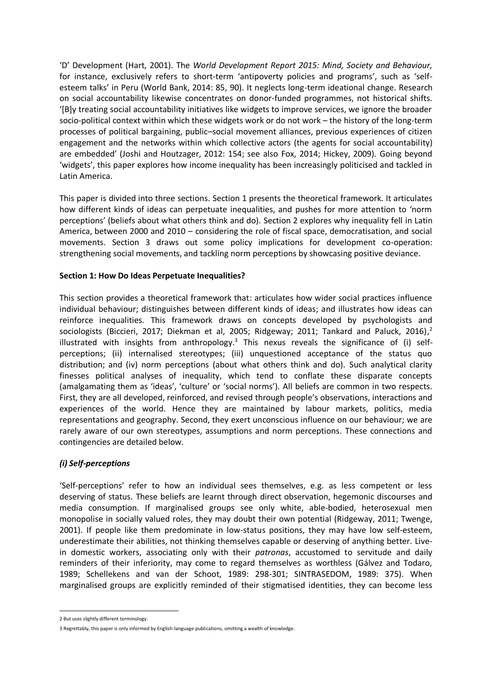'D' Development (Hart, 2001). The *World Development Report 2015: Mind, Society and Behaviour,*  for instance, exclusively refers to short-term 'antipoverty policies and programs', such as 'selfesteem talks' in Peru (World Bank, 2014: 85, 90). It neglects long-term ideational change. Research on social accountability likewise concentrates on donor-funded programmes, not historical shifts. '[B]y treating social accountability initiatives like widgets to improve services, we ignore the broader socio-political context within which these widgets work or do not work – the history of the long-term processes of political bargaining, public–social movement alliances, previous experiences of citizen engagement and the networks within which collective actors (the agents for social accountability) are embedded' (Joshi and Houtzager, 2012: 154; see also Fox, 2014; Hickey, 2009). Going beyond 'widgets', this paper explores how income inequality has been increasingly politicised and tackled in Latin America.

This paper is divided into three sections. Section 1 presents the theoretical framework. It articulates how different kinds of ideas can perpetuate inequalities, and pushes for more attention to 'norm perceptions' (beliefs about what others think and do). Section 2 explores why inequality fell in Latin America, between 2000 and 2010 – considering the role of fiscal space, democratisation, and social movements. Section 3 draws out some policy implications for development co-operation: strengthening social movements, and tackling norm perceptions by showcasing positive deviance.

## **Section 1: How Do Ideas Perpetuate Inequalities?**

This section provides a theoretical framework that: articulates how wider social practices influence individual behaviour; distinguishes between different kinds of ideas; and illustrates how ideas can reinforce inequalities. This framework draws on concepts developed by psychologists and sociologists (Biccieri, 2017; Diekman et al, 2005; Ridgeway; 2011; Tankard and Paluck, 2016),<sup>2</sup> illustrated with insights from anthropology.<sup>3</sup> This nexus reveals the significance of (i) selfperceptions; (ii) internalised stereotypes; (iii) unquestioned acceptance of the status quo distribution; and (iv) norm perceptions (about what others think and do). Such analytical clarity finesses political analyses of inequality, which tend to conflate these disparate concepts (amalgamating them as 'ideas', 'culture' or 'social norms'). All beliefs are common in two respects. First, they are all developed, reinforced, and revised through people's observations, interactions and experiences of the world. Hence they are maintained by labour markets, politics, media representations and geography. Second, they exert unconscious influence on our behaviour; we are rarely aware of our own stereotypes, assumptions and norm perceptions. These connections and contingencies are detailed below.

# *(i) Self-perceptions*

'Self-perceptions' refer to how an individual sees themselves, e.g. as less competent or less deserving of status. These beliefs are learnt through direct observation, hegemonic discourses and media consumption. If marginalised groups see only white, able-bodied, heterosexual men monopolise in socially valued roles, they may doubt their own potential (Ridgeway, 2011; Twenge, 2001). If people like them predominate in low-status positions, they may have low self-esteem, underestimate their abilities, not thinking themselves capable or deserving of anything better. Livein domestic workers, associating only with their *patronas*, accustomed to servitude and daily reminders of their inferiority, may come to regard themselves as worthless (Gálvez and Todaro, 1989; Schellekens and van der Schoot, 1989: 298-301; SINTRASEDOM, 1989: 375). When marginalised groups are explicitly reminded of their stigmatised identities, they can become less

-

<sup>2</sup> But uses slightly different terminology.

<sup>3</sup> Regrettably, this paper is only informed by English-language publications, omitting a wealth of knowledge.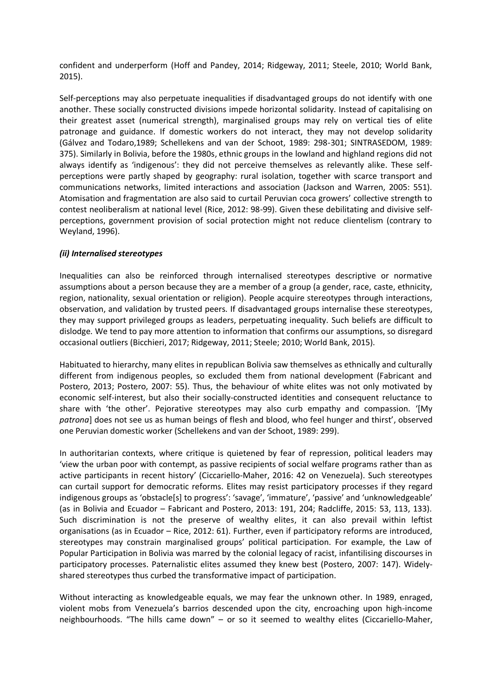confident and underperform (Hoff and Pandey, 2014; Ridgeway, 2011; Steele, 2010; World Bank, 2015).

Self-perceptions may also perpetuate inequalities if disadvantaged groups do not identify with one another. These socially constructed divisions impede horizontal solidarity. Instead of capitalising on their greatest asset (numerical strength), marginalised groups may rely on vertical ties of elite patronage and guidance. If domestic workers do not interact, they may not develop solidarity (Gálvez and Todaro,1989; Schellekens and van der Schoot, 1989: 298-301; SINTRASEDOM, 1989: 375). Similarly in Bolivia, before the 1980s, ethnic groups in the lowland and highland regions did not always identify as 'indigenous': they did not perceive themselves as relevantly alike. These selfperceptions were partly shaped by geography: rural isolation, together with scarce transport and communications networks, limited interactions and association (Jackson and Warren, 2005: 551). Atomisation and fragmentation are also said to curtail Peruvian coca growers' collective strength to contest neoliberalism at national level (Rice, 2012: 98-99). Given these debilitating and divisive selfperceptions, government provision of social protection might not reduce clientelism (contrary to Weyland, 1996).

## *(ii) Internalised stereotypes*

Inequalities can also be reinforced through internalised stereotypes descriptive or normative assumptions about a person because they are a member of a group (a gender, race, caste, ethnicity, region, nationality, sexual orientation or religion). People acquire stereotypes through interactions, observation, and validation by trusted peers. If disadvantaged groups internalise these stereotypes, they may support privileged groups as leaders, perpetuating inequality. Such beliefs are difficult to dislodge. We tend to pay more attention to information that confirms our assumptions, so disregard occasional outliers (Bicchieri, 2017; Ridgeway, 2011; Steele; 2010; World Bank, 2015).

Habituated to hierarchy, many elites in republican Bolivia saw themselves as ethnically and culturally different from indigenous peoples, so excluded them from national development (Fabricant and Postero, 2013; Postero, 2007: 55). Thus, the behaviour of white elites was not only motivated by economic self-interest, but also their socially-constructed identities and consequent reluctance to share with 'the other'. Pejorative stereotypes may also curb empathy and compassion. '[My *patrona*] does not see us as human beings of flesh and blood, who feel hunger and thirst', observed one Peruvian domestic worker (Schellekens and van der Schoot, 1989: 299).

In authoritarian contexts, where critique is quietened by fear of repression, political leaders may 'view the urban poor with contempt, as passive recipients of social welfare programs rather than as active participants in recent history' (Ciccariello-Maher, 2016: 42 on Venezuela). Such stereotypes can curtail support for democratic reforms. Elites may resist participatory processes if they regard indigenous groups as 'obstacle[s] to progress': 'savage', 'immature', 'passive' and 'unknowledgeable' (as in Bolivia and Ecuador – Fabricant and Postero, 2013: 191, 204; Radcliffe, 2015: 53, 113, 133). Such discrimination is not the preserve of wealthy elites, it can also prevail within leftist organisations (as in Ecuador – Rice, 2012: 61). Further, even if participatory reforms are introduced, stereotypes may constrain marginalised groups' political participation. For example, the Law of Popular Participation in Bolivia was marred by the colonial legacy of racist, infantilising discourses in participatory processes. Paternalistic elites assumed they knew best (Postero, 2007: 147). Widelyshared stereotypes thus curbed the transformative impact of participation.

Without interacting as knowledgeable equals, we may fear the unknown other. In 1989, enraged, violent mobs from Venezuela's barrios descended upon the city, encroaching upon high-income neighbourhoods. "The hills came down" – or so it seemed to wealthy elites (Ciccariello-Maher,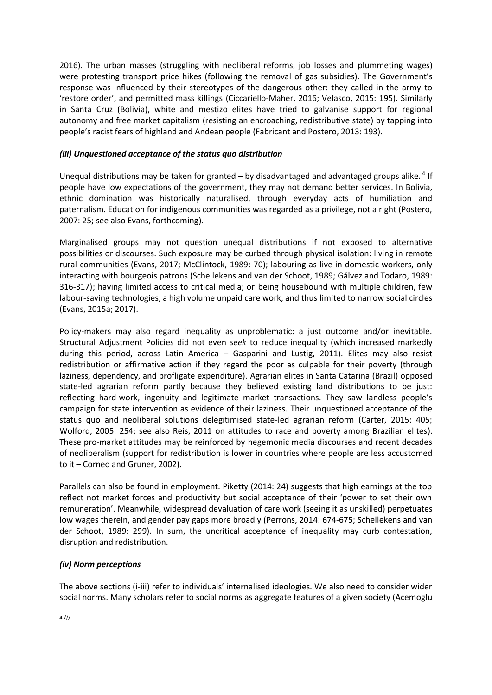2016). The urban masses (struggling with neoliberal reforms, job losses and plummeting wages) were protesting transport price hikes (following the removal of gas subsidies). The Government's response was influenced by their stereotypes of the dangerous other: they called in the army to 'restore order', and permitted mass killings (Ciccariello-Maher, 2016; Velasco, 2015: 195). Similarly in Santa Cruz (Bolivia), white and mestizo elites have tried to galvanise support for regional autonomy and free market capitalism (resisting an encroaching, redistributive state) by tapping into people's racist fears of highland and Andean people (Fabricant and Postero, 2013: 193).

## *(iii) Unquestioned acceptance of the status quo distribution*

Unequal distributions may be taken for granted - by disadvantaged and advantaged groups alike.<sup>4</sup> If people have low expectations of the government, they may not demand better services. In Bolivia, ethnic domination was historically naturalised, through everyday acts of humiliation and paternalism. Education for indigenous communities was regarded as a privilege, not a right (Postero, 2007: 25; see also Evans, forthcoming).

Marginalised groups may not question unequal distributions if not exposed to alternative possibilities or discourses. Such exposure may be curbed through physical isolation: living in remote rural communities (Evans, 2017; McClintock, 1989: 70); labouring as live-in domestic workers, only interacting with bourgeois patrons (Schellekens and van der Schoot, 1989; Gálvez and Todaro, 1989: 316-317); having limited access to critical media; or being housebound with multiple children, few labour-saving technologies, a high volume unpaid care work, and thus limited to narrow social circles (Evans, 2015a; 2017).

Policy-makers may also regard inequality as unproblematic: a just outcome and/or inevitable. Structural Adjustment Policies did not even *seek* to reduce inequality (which increased markedly during this period, across Latin America – Gasparini and Lustig, 2011). Elites may also resist redistribution or affirmative action if they regard the poor as culpable for their poverty (through laziness, dependency, and profligate expenditure). Agrarian elites in Santa Catarina (Brazil) opposed state-led agrarian reform partly because they believed existing land distributions to be just: reflecting hard-work, ingenuity and legitimate market transactions. They saw landless people's campaign for state intervention as evidence of their laziness. Their unquestioned acceptance of the status quo and neoliberal solutions delegitimised state-led agrarian reform (Carter, 2015: 405; Wolford, 2005: 254; see also Reis, 2011 on attitudes to race and poverty among Brazilian elites). These pro-market attitudes may be reinforced by hegemonic media discourses and recent decades of neoliberalism (support for redistribution is lower in countries where people are less accustomed to it – Corneo and Gruner, 2002).

Parallels can also be found in employment. Piketty (2014: 24) suggests that high earnings at the top reflect not market forces and productivity but social acceptance of their 'power to set their own remuneration'. Meanwhile, widespread devaluation of care work (seeing it as unskilled) perpetuates low wages therein, and gender pay gaps more broadly (Perrons, 2014: 674-675; Schellekens and van der Schoot, 1989: 299). In sum, the uncritical acceptance of inequality may curb contestation, disruption and redistribution.

# *(iv) Norm perceptions*

The above sections (i-iii) refer to individuals' internalised ideologies. We also need to consider wider social norms. Many scholars refer to social norms as aggregate features of a given society (Acemoglu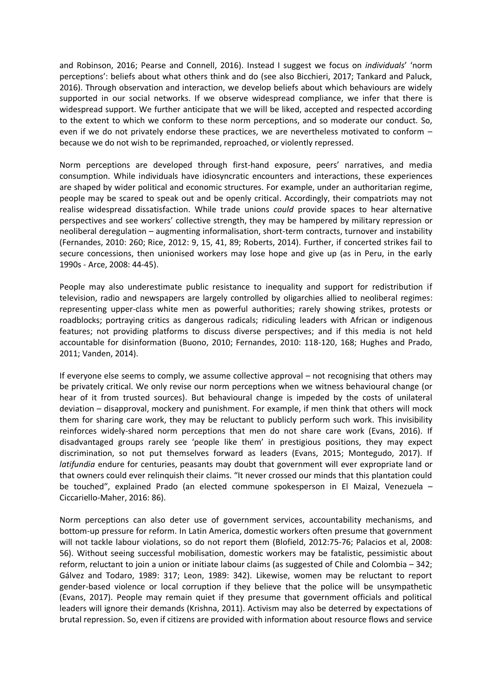and Robinson, 2016; Pearse and Connell, 2016). Instead I suggest we focus on *individuals*' 'norm perceptions': beliefs about what others think and do (see also Bicchieri, 2017; Tankard and Paluck, 2016). Through observation and interaction, we develop beliefs about which behaviours are widely supported in our social networks. If we observe widespread compliance, we infer that there is widespread support. We further anticipate that we will be liked, accepted and respected according to the extent to which we conform to these norm perceptions, and so moderate our conduct. So, even if we do not privately endorse these practices, we are nevertheless motivated to conform – because we do not wish to be reprimanded, reproached, or violently repressed.

Norm perceptions are developed through first-hand exposure, peers' narratives, and media consumption. While individuals have idiosyncratic encounters and interactions, these experiences are shaped by wider political and economic structures. For example, under an authoritarian regime, people may be scared to speak out and be openly critical. Accordingly, their compatriots may not realise widespread dissatisfaction. While trade unions *could* provide spaces to hear alternative perspectives and see workers' collective strength, they may be hampered by military repression or neoliberal deregulation – augmenting informalisation, short-term contracts, turnover and instability (Fernandes, 2010: 260; Rice, 2012: 9, 15, 41, 89; Roberts, 2014). Further, if concerted strikes fail to secure concessions, then unionised workers may lose hope and give up (as in Peru, in the early 1990s - Arce, 2008: 44-45).

People may also underestimate public resistance to inequality and support for redistribution if television, radio and newspapers are largely controlled by oligarchies allied to neoliberal regimes: representing upper-class white men as powerful authorities; rarely showing strikes, protests or roadblocks; portraying critics as dangerous radicals; ridiculing leaders with African or indigenous features; not providing platforms to discuss diverse perspectives; and if this media is not held accountable for disinformation (Buono, 2010; Fernandes, 2010: 118-120, 168; Hughes and Prado, 2011; Vanden, 2014).

If everyone else seems to comply, we assume collective approval – not recognising that others may be privately critical. We only revise our norm perceptions when we witness behavioural change (or hear of it from trusted sources). But behavioural change is impeded by the costs of unilateral deviation – disapproval, mockery and punishment. For example, if men think that others will mock them for sharing care work, they may be reluctant to publicly perform such work. This invisibility reinforces widely-shared norm perceptions that men do not share care work (Evans, 2016). If disadvantaged groups rarely see 'people like them' in prestigious positions, they may expect discrimination, so not put themselves forward as leaders (Evans, 2015; Montegudo, 2017). If *latifundia* endure for centuries, peasants may doubt that government will ever expropriate land or that owners could ever relinquish their claims. "It never crossed our minds that this plantation could be touched", explained Prado (an elected commune spokesperson in El Maizal, Venezuela – Ciccariello-Maher, 2016: 86).

Norm perceptions can also deter use of government services, accountability mechanisms, and bottom-up pressure for reform. In Latin America, domestic workers often presume that government will not tackle labour violations, so do not report them (Blofield, 2012:75-76; Palacios et al, 2008: 56). Without seeing successful mobilisation, domestic workers may be fatalistic, pessimistic about reform, reluctant to join a union or initiate labour claims (as suggested of Chile and Colombia – 342; Gálvez and Todaro, 1989: 317; Leon, 1989: 342). Likewise, women may be reluctant to report gender-based violence or local corruption if they believe that the police will be unsympathetic (Evans, 2017). People may remain quiet if they presume that government officials and political leaders will ignore their demands (Krishna, 2011). Activism may also be deterred by expectations of brutal repression. So, even if citizens are provided with information about resource flows and service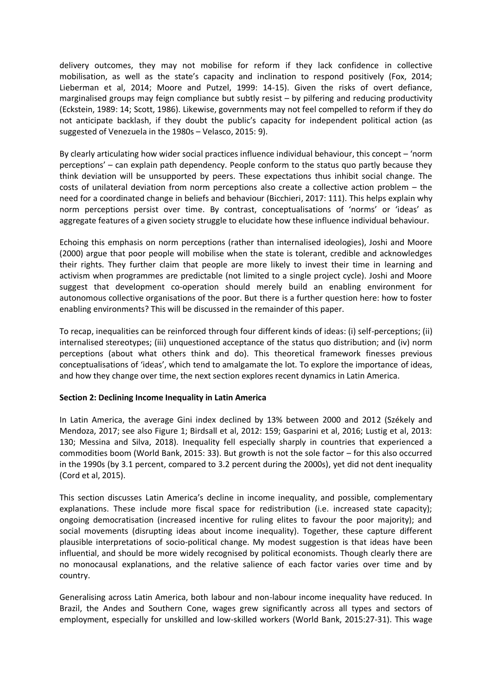delivery outcomes, they may not mobilise for reform if they lack confidence in collective mobilisation, as well as the state's capacity and inclination to respond positively (Fox, 2014; Lieberman et al, 2014; Moore and Putzel, 1999: 14-15). Given the risks of overt defiance, marginalised groups may feign compliance but subtly resist – by pilfering and reducing productivity (Eckstein, 1989: 14; Scott, 1986). Likewise, governments may not feel compelled to reform if they do not anticipate backlash, if they doubt the public's capacity for independent political action (as suggested of Venezuela in the 1980s – Velasco, 2015: 9).

By clearly articulating how wider social practices influence individual behaviour, this concept – 'norm perceptions' – can explain path dependency. People conform to the status quo partly because they think deviation will be unsupported by peers. These expectations thus inhibit social change. The costs of unilateral deviation from norm perceptions also create a collective action problem – the need for a coordinated change in beliefs and behaviour (Bicchieri, 2017: 111). This helps explain why norm perceptions persist over time. By contrast, conceptualisations of 'norms' or 'ideas' as aggregate features of a given society struggle to elucidate how these influence individual behaviour.

Echoing this emphasis on norm perceptions (rather than internalised ideologies), Joshi and Moore (2000) argue that poor people will mobilise when the state is tolerant, credible and acknowledges their rights. They further claim that people are more likely to invest their time in learning and activism when programmes are predictable (not limited to a single project cycle). Joshi and Moore suggest that development co-operation should merely build an enabling environment for autonomous collective organisations of the poor. But there is a further question here: how to foster enabling environments? This will be discussed in the remainder of this paper.

To recap, inequalities can be reinforced through four different kinds of ideas: (i) self-perceptions; (ii) internalised stereotypes; (iii) unquestioned acceptance of the status quo distribution; and (iv) norm perceptions (about what others think and do). This theoretical framework finesses previous conceptualisations of 'ideas', which tend to amalgamate the lot. To explore the importance of ideas, and how they change over time, the next section explores recent dynamics in Latin America.

## **Section 2: Declining Income Inequality in Latin America**

In Latin America, the average Gini index declined by 13% between 2000 and 2012 (Székely and Mendoza, 2017; see also Figure 1; Birdsall et al, 2012: 159; Gasparini et al, 2016; Lustig et al, 2013: 130; Messina and Silva, 2018). Inequality fell especially sharply in countries that experienced a commodities boom (World Bank, 2015: 33). But growth is not the sole factor – for this also occurred in the 1990s (by 3.1 percent, compared to 3.2 percent during the 2000s), yet did not dent inequality (Cord et al, 2015).

This section discusses Latin America's decline in income inequality, and possible, complementary explanations. These include more fiscal space for redistribution (i.e. increased state capacity); ongoing democratisation (increased incentive for ruling elites to favour the poor majority); and social movements (disrupting ideas about income inequality). Together, these capture different plausible interpretations of socio-political change. My modest suggestion is that ideas have been influential, and should be more widely recognised by political economists. Though clearly there are no monocausal explanations, and the relative salience of each factor varies over time and by country.

Generalising across Latin America, both labour and non-labour income inequality have reduced. In Brazil, the Andes and Southern Cone, wages grew significantly across all types and sectors of employment, especially for unskilled and low-skilled workers (World Bank, 2015:27-31). This wage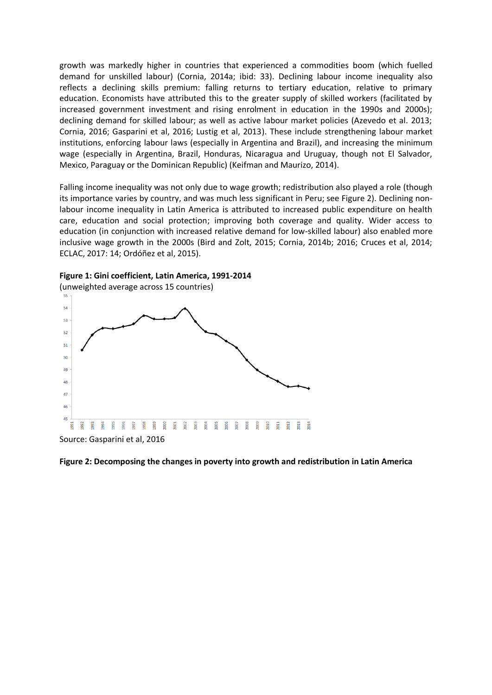growth was markedly higher in countries that experienced a commodities boom (which fuelled demand for unskilled labour) (Cornia, 2014a; ibid: 33). Declining labour income inequality also reflects a declining skills premium: falling returns to tertiary education, relative to primary education. Economists have attributed this to the greater supply of skilled workers (facilitated by increased government investment and rising enrolment in education in the 1990s and 2000s); declining demand for skilled labour; as well as active labour market policies (Azevedo et al. 2013; Cornia, 2016; Gasparini et al, 2016; Lustig et al, 2013). These include strengthening labour market institutions, enforcing labour laws (especially in Argentina and Brazil), and increasing the minimum wage (especially in Argentina, Brazil, Honduras, Nicaragua and Uruguay, though not El Salvador, Mexico, Paraguay or the Dominican Republic) (Keifman and Maurizo, 2014).

Falling income inequality was not only due to wage growth; redistribution also played a role (though its importance varies by country, and was much less significant in Peru; see Figure 2). Declining nonlabour income inequality in Latin America is attributed to increased public expenditure on health care, education and social protection; improving both coverage and quality. Wider access to education (in conjunction with increased relative demand for low-skilled labour) also enabled more inclusive wage growth in the 2000s (Bird and Zolt, 2015; Cornia, 2014b; 2016; Cruces et al, 2014; ECLAC, 2017: 14; Ordóñez et al, 2015).





Source: Gasparini et al, 2016

#### **Figure 2: Decomposing the changes in poverty into growth and redistribution in Latin America**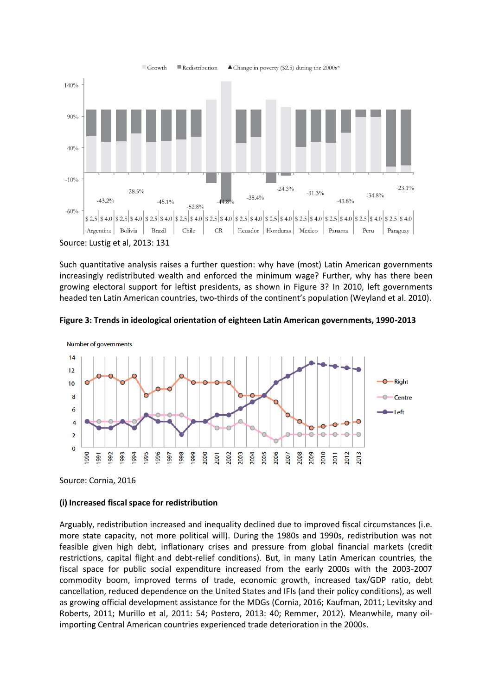

Such quantitative analysis raises a further question: why have (most) Latin American governments increasingly redistributed wealth and enforced the minimum wage? Further, why has there been growing electoral support for leftist presidents, as shown in Figure 3? In 2010, left governments headed ten Latin American countries, two-thirds of the continent's population (Weyland et al. 2010).





Source: Cornia, 2016

#### **(i) Increased fiscal space for redistribution**

Arguably, redistribution increased and inequality declined due to improved fiscal circumstances (i.e. more state capacity, not more political will). During the 1980s and 1990s, redistribution was not feasible given high debt, inflationary crises and pressure from global financial markets (credit restrictions, capital flight and debt-relief conditions). But, in many Latin American countries, the fiscal space for public social expenditure increased from the early 2000s with the 2003-2007 commodity boom, improved terms of trade, economic growth, increased tax/GDP ratio, debt cancellation, reduced dependence on the United States and IFIs (and their policy conditions), as well as growing official development assistance for the MDGs (Cornia, 2016; Kaufman, 2011; Levitsky and Roberts, 2011; Murillo et al, 2011: 54; Postero, 2013: 40; Remmer, 2012). Meanwhile, many oilimporting Central American countries experienced trade deterioration in the 2000s.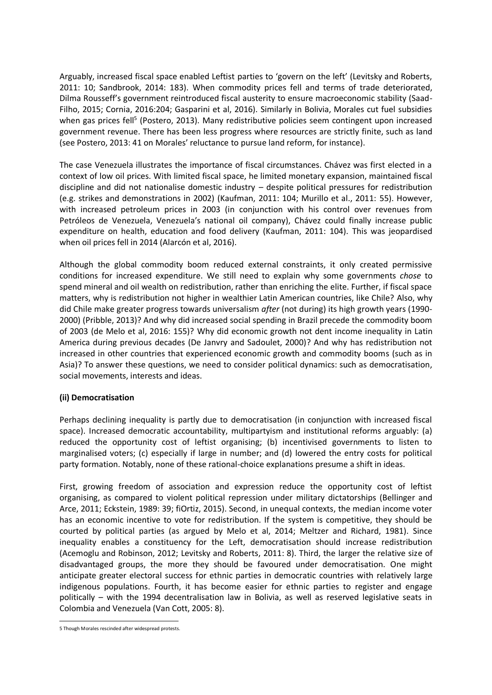Arguably, increased fiscal space enabled Leftist parties to 'govern on the left' (Levitsky and Roberts, 2011: 10; Sandbrook, 2014: 183). When commodity prices fell and terms of trade deteriorated, Dilma Rousseff's government reintroduced fiscal austerity to ensure macroeconomic stability (Saad-Filho, 2015; Cornia, 2016:204; Gasparini et al, 2016). Similarly in Bolivia, Morales cut fuel subsidies when gas prices fell<sup>5</sup> (Postero, 2013). Many redistributive policies seem contingent upon increased government revenue. There has been less progress where resources are strictly finite, such as land (see Postero, 2013: 41 on Morales' reluctance to pursue land reform, for instance).

The case Venezuela illustrates the importance of fiscal circumstances. Chávez was first elected in a context of low oil prices. With limited fiscal space, he limited monetary expansion, maintained fiscal discipline and did not nationalise domestic industry – despite political pressures for redistribution (e.g. strikes and demonstrations in 2002) (Kaufman, 2011: 104; Murillo et al., 2011: 55). However, with increased petroleum prices in 2003 (in conjunction with his control over revenues from Petróleos de Venezuela, Venezuela's national oil company), Chávez could finally increase public expenditure on health, education and food delivery (Kaufman, 2011: 104). This was jeopardised when oil prices fell in 2014 (Alarcón et al, 2016).

Although the global commodity boom reduced external constraints, it only created permissive conditions for increased expenditure. We still need to explain why some governments *chose* to spend mineral and oil wealth on redistribution, rather than enriching the elite. Further, if fiscal space matters, why is redistribution not higher in wealthier Latin American countries, like Chile? Also, why did Chile make greater progress towards universalism *after* (not during) its high growth years (1990- 2000) (Pribble, 2013)? And why did increased social spending in Brazil precede the commodity boom of 2003 (de Melo et al, 2016: 155)? Why did economic growth not dent income inequality in Latin America during previous decades (De Janvry and Sadoulet, 2000)? And why has redistribution not increased in other countries that experienced economic growth and commodity booms (such as in Asia)? To answer these questions, we need to consider political dynamics: such as democratisation, social movements, interests and ideas.

## **(ii) Democratisation**

Perhaps declining inequality is partly due to democratisation (in conjunction with increased fiscal space). Increased democratic accountability, multipartyism and institutional reforms arguably: (a) reduced the opportunity cost of leftist organising; (b) incentivised governments to listen to marginalised voters; (c) especially if large in number; and (d) lowered the entry costs for political party formation. Notably, none of these rational-choice explanations presume a shift in ideas.

First, growing freedom of association and expression reduce the opportunity cost of leftist organising, as compared to violent political repression under military dictatorships (Bellinger and Arce, 2011; Eckstein, 1989: 39; fiOrtiz, 2015). Second, in unequal contexts, the median income voter has an economic incentive to vote for redistribution. If the system is competitive, they should be courted by political parties (as argued by Melo et al, 2014; Meltzer and Richard, 1981). Since inequality enables a constituency for the Left, democratisation should increase redistribution (Acemoglu and Robinson, 2012; Levitsky and Roberts, 2011: 8). Third, the larger the relative size of disadvantaged groups, the more they should be favoured under democratisation. One might anticipate greater electoral success for ethnic parties in democratic countries with relatively large indigenous populations. Fourth, it has become easier for ethnic parties to register and engage politically – with the 1994 decentralisation law in Bolivia, as well as reserved legislative seats in Colombia and Venezuela (Van Cott, 2005: 8).

<sup>-</sup>5 Though Morales rescinded after widespread protests.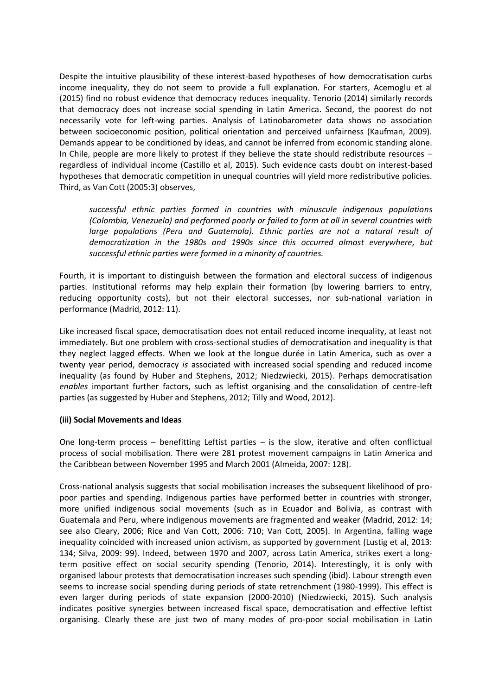Despite the intuitive plausibility of these interest-based hypotheses of how democratisation curbs income inequality, they do not seem to provide a full explanation. For starters, Acemoglu et al (2015) find no robust evidence that democracy reduces inequality. Tenorio (2014) similarly records that democracy does not increase social spending in Latin America. Second, the poorest do not necessarily vote for left-wing parties. Analysis of Latinobarometer data shows no association between socioeconomic position, political orientation and perceived unfairness (Kaufman, 2009). Demands appear to be conditioned by ideas, and cannot be inferred from economic standing alone. In Chile, people are more likely to protest if they believe the state should redistribute resources – regardless of individual income (Castillo et al, 2015). Such evidence casts doubt on interest-based hypotheses that democratic competition in unequal countries will yield more redistributive policies. Third, as Van Cott (2005:3) observes,

*successful ethnic parties formed in countries with minuscule indigenous populations (Colombia, Venezuela) and performed poorly or failed to form at all in several countries with*  large populations (Peru and Guatemala). Ethnic parties are not a natural result of *democratization in the 1980s and 1990s since this occurred almost everywhere, but successful ethnic parties were formed in a minority of countries.* 

Fourth, it is important to distinguish between the formation and electoral success of indigenous parties. Institutional reforms may help explain their formation (by lowering barriers to entry, reducing opportunity costs), but not their electoral successes, nor sub-national variation in performance (Madrid, 2012: 11).

Like increased fiscal space, democratisation does not entail reduced income inequality, at least not immediately. But one problem with cross-sectional studies of democratisation and inequality is that they neglect lagged effects. When we look at the longue durée in Latin America, such as over a twenty year period, democracy *is* associated with increased social spending and reduced income inequality (as found by Huber and Stephens, 2012; Niedzwiecki, 2015). Perhaps democratisation *enables* important further factors, such as leftist organising and the consolidation of centre-left parties (as suggested by Huber and Stephens, 2012; Tilly and Wood, 2012).

## **(iii) Social Movements and Ideas**

One long-term process – benefitting Leftist parties – is the slow, iterative and often conflictual process of social mobilisation. There were 281 protest movement campaigns in Latin America and the Caribbean between November 1995 and March 2001 (Almeida, 2007: 128).

Cross-national analysis suggests that social mobilisation increases the subsequent likelihood of propoor parties and spending. Indigenous parties have performed better in countries with stronger, more unified indigenous social movements (such as in Ecuador and Bolivia, as contrast with Guatemala and Peru, where indigenous movements are fragmented and weaker (Madrid, 2012: 14; see also Cleary, 2006; Rice and Van Cott, 2006: 710; Van Cott, 2005). In Argentina, falling wage inequality coincided with increased union activism, as supported by government (Lustig et al, 2013: 134; Silva, 2009: 99). Indeed, between 1970 and 2007, across Latin America, strikes exert a longterm positive effect on social security spending (Tenorio, 2014). Interestingly, it is only with organised labour protests that democratisation increases such spending (ibid). Labour strength even seems to increase social spending during periods of state retrenchment (1980-1999). This effect is even larger during periods of state expansion (2000-2010) (Niedzwiecki, 2015). Such analysis indicates positive synergies between increased fiscal space, democratisation and effective leftist organising. Clearly these are just two of many modes of pro-poor social mobilisation in Latin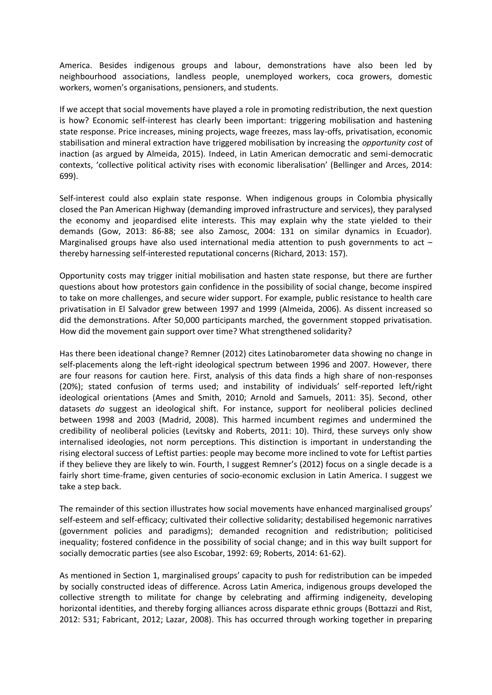America. Besides indigenous groups and labour, demonstrations have also been led by neighbourhood associations, landless people, unemployed workers, coca growers, domestic workers, women's organisations, pensioners, and students.

If we accept that social movements have played a role in promoting redistribution, the next question is how? Economic self-interest has clearly been important: triggering mobilisation and hastening state response. Price increases, mining projects, wage freezes, mass lay-offs, privatisation, economic stabilisation and mineral extraction have triggered mobilisation by increasing the *opportunity cost* of inaction (as argued by Almeida, 2015). Indeed, in Latin American democratic and semi-democratic contexts, 'collective political activity rises with economic liberalisation' (Bellinger and Arces, 2014: 699).

Self-interest could also explain state response. When indigenous groups in Colombia physically closed the Pan American Highway (demanding improved infrastructure and services), they paralysed the economy and jeopardised elite interests. This may explain why the state yielded to their demands (Gow, 2013: 86-88; see also Zamosc, 2004: 131 on similar dynamics in Ecuador). Marginalised groups have also used international media attention to push governments to act  $$ thereby harnessing self-interested reputational concerns (Richard, 2013: 157).

Opportunity costs may trigger initial mobilisation and hasten state response, but there are further questions about how protestors gain confidence in the possibility of social change, become inspired to take on more challenges, and secure wider support. For example, public resistance to health care privatisation in El Salvador grew between 1997 and 1999 (Almeida, 2006). As dissent increased so did the demonstrations. After 50,000 participants marched, the government stopped privatisation. How did the movement gain support over time? What strengthened solidarity?

Has there been ideational change? Remner (2012) cites Latinobarometer data showing no change in self-placements along the left-right ideological spectrum between 1996 and 2007. However, there are four reasons for caution here. First, analysis of this data finds a high share of non-responses (20%); stated confusion of terms used; and instability of individuals' self-reported left/right ideological orientations (Ames and Smith, 2010; Arnold and Samuels, 2011: 35). Second, other datasets *do* suggest an ideological shift. For instance, support for neoliberal policies declined between 1998 and 2003 (Madrid, 2008). This harmed incumbent regimes and undermined the credibility of neoliberal policies (Levitsky and Roberts, 2011: 10). Third, these surveys only show internalised ideologies, not norm perceptions. This distinction is important in understanding the rising electoral success of Leftist parties: people may become more inclined to vote for Leftist parties if they believe they are likely to win. Fourth, I suggest Remner's (2012) focus on a single decade is a fairly short time-frame, given centuries of socio-economic exclusion in Latin America. I suggest we take a step back.

The remainder of this section illustrates how social movements have enhanced marginalised groups' self-esteem and self-efficacy; cultivated their collective solidarity; destabilised hegemonic narratives (government policies and paradigms); demanded recognition and redistribution; politicised inequality; fostered confidence in the possibility of social change; and in this way built support for socially democratic parties (see also Escobar, 1992: 69; Roberts, 2014: 61-62).

As mentioned in Section 1, marginalised groups' capacity to push for redistribution can be impeded by socially constructed ideas of difference. Across Latin America, indigenous groups developed the collective strength to militate for change by celebrating and affirming indigeneity, developing horizontal identities, and thereby forging alliances across disparate ethnic groups (Bottazzi and Rist, 2012: 531; Fabricant, 2012; Lazar, 2008). This has occurred through working together in preparing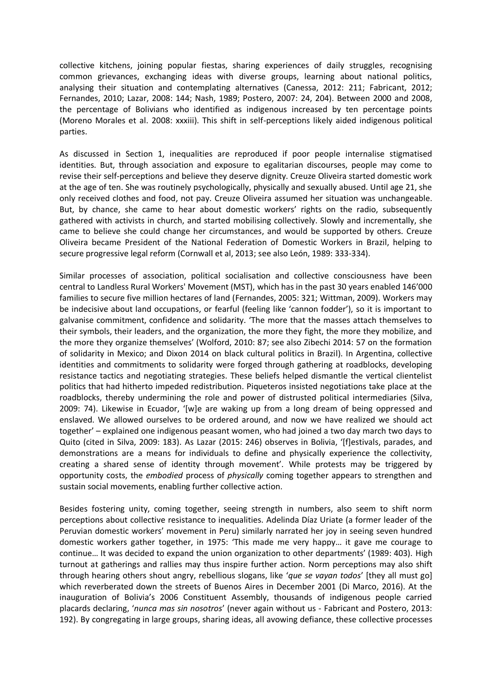collective kitchens, joining popular fiestas, sharing experiences of daily struggles, recognising common grievances, exchanging ideas with diverse groups, learning about national politics, analysing their situation and contemplating alternatives (Canessa, 2012: 211; Fabricant, 2012; Fernandes, 2010; Lazar, 2008: 144; Nash, 1989; Postero, 2007: 24, 204). Between 2000 and 2008, the percentage of Bolivians who identified as indigenous increased by ten percentage points (Moreno Morales et al. 2008: xxxiii). This shift in self-perceptions likely aided indigenous political parties.

As discussed in Section 1, inequalities are reproduced if poor people internalise stigmatised identities. But, through association and exposure to egalitarian discourses, people may come to revise their self-perceptions and believe they deserve dignity. Creuze Oliveira started domestic work at the age of ten. She was routinely psychologically, physically and sexually abused. Until age 21, she only received clothes and food, not pay. Creuze Oliveira assumed her situation was unchangeable. But, by chance, she came to hear about domestic workers' rights on the radio, subsequently gathered with activists in church, and started mobilising collectively. Slowly and incrementally, she came to believe she could change her circumstances, and would be supported by others. Creuze Oliveira became President of the National Federation of Domestic Workers in Brazil, helping to secure progressive legal reform (Cornwall et al, 2013; see also León, 1989: 333-334).

Similar processes of association, political socialisation and collective consciousness have been central to Landless Rural Workers' Movement (MST), which has in the past 30 years enabled 146'000 families to secure five million hectares of land (Fernandes, 2005: 321; Wittman, 2009). Workers may be indecisive about land occupations, or fearful (feeling like 'cannon fodder'), so it is important to galvanise commitment, confidence and solidarity. 'The more that the masses attach themselves to their symbols, their leaders, and the organization, the more they fight, the more they mobilize, and the more they organize themselves' (Wolford, 2010: 87; see also Zibechi 2014: 57 on the formation of solidarity in Mexico; and Dixon 2014 on black cultural politics in Brazil). In Argentina, collective identities and commitments to solidarity were forged through gathering at roadblocks, developing resistance tactics and negotiating strategies. These beliefs helped dismantle the vertical clientelist politics that had hitherto impeded redistribution. Piqueteros insisted negotiations take place at the roadblocks, thereby undermining the role and power of distrusted political intermediaries (Silva, 2009: 74). Likewise in Ecuador, '[w]e are waking up from a long dream of being oppressed and enslaved. We allowed ourselves to be ordered around, and now we have realized we should act together' – explained one indigenous peasant women, who had joined a two day march two days to Quito (cited in Silva, 2009: 183). As Lazar (2015: 246) observes in Bolivia, '[f]estivals, parades, and demonstrations are a means for individuals to define and physically experience the collectivity, creating a shared sense of identity through movement'. While protests may be triggered by opportunity costs, the *embodied* process of *physically* coming together appears to strengthen and sustain social movements, enabling further collective action.

Besides fostering unity, coming together, seeing strength in numbers, also seem to shift norm perceptions about collective resistance to inequalities. Adelinda Díaz Uriate (a former leader of the Peruvian domestic workers' movement in Peru) similarly narrated her joy in seeing seven hundred domestic workers gather together, in 1975: 'This made me very happy… it gave me courage to continue… It was decided to expand the union organization to other departments' (1989: 403). High turnout at gatherings and rallies may thus inspire further action. Norm perceptions may also shift through hearing others shout angry, rebellious slogans, like '*que se vayan todos*' [they all must go] which reverberated down the streets of Buenos Aires in December 2001 (Di Marco, 2016). At the inauguration of Bolivia's 2006 Constituent Assembly, thousands of indigenous people carried placards declaring, '*nunca mas sin nosotros*' (never again without us - Fabricant and Postero, 2013: 192). By congregating in large groups, sharing ideas, all avowing defiance, these collective processes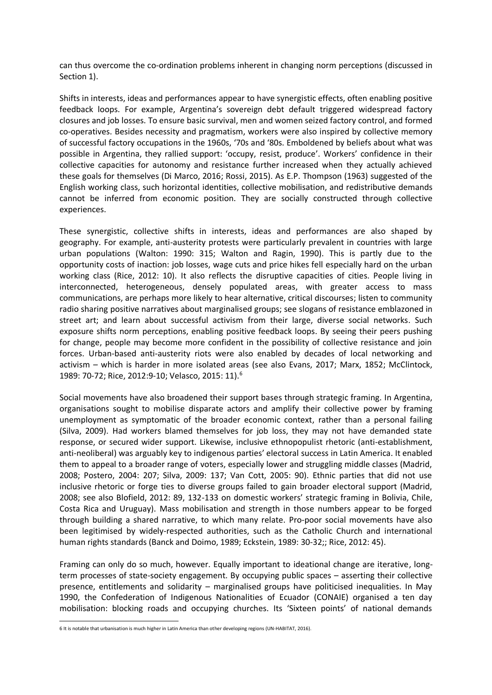can thus overcome the co-ordination problems inherent in changing norm perceptions (discussed in Section 1).

Shifts in interests, ideas and performances appear to have synergistic effects, often enabling positive feedback loops. For example, Argentina's sovereign debt default triggered widespread factory closures and job losses. To ensure basic survival, men and women seized factory control, and formed co-operatives. Besides necessity and pragmatism, workers were also inspired by collective memory of successful factory occupations in the 1960s, '70s and '80s. Emboldened by beliefs about what was possible in Argentina, they rallied support: 'occupy, resist, produce'. Workers' confidence in their collective capacities for autonomy and resistance further increased when they actually achieved these goals for themselves (Di Marco, 2016; Rossi, 2015). As E.P. Thompson (1963) suggested of the English working class, such horizontal identities, collective mobilisation, and redistributive demands cannot be inferred from economic position. They are socially constructed through collective experiences.

These synergistic, collective shifts in interests, ideas and performances are also shaped by geography. For example, anti-austerity protests were particularly prevalent in countries with large urban populations (Walton: 1990: 315; Walton and Ragin, 1990). This is partly due to the opportunity costs of inaction: job losses, wage cuts and price hikes fell especially hard on the urban working class (Rice, 2012: 10). It also reflects the disruptive capacities of cities. People living in interconnected, heterogeneous, densely populated areas, with greater access to mass communications, are perhaps more likely to hear alternative, critical discourses; listen to community radio sharing positive narratives about marginalised groups; see slogans of resistance emblazoned in street art; and learn about successful activism from their large, diverse social networks. Such exposure shifts norm perceptions, enabling positive feedback loops. By seeing their peers pushing for change, people may become more confident in the possibility of collective resistance and join forces. Urban-based anti-austerity riots were also enabled by decades of local networking and activism – which is harder in more isolated areas (see also Evans, 2017; Marx, 1852; McClintock, 1989: 70-72; Rice, 2012:9-10; Velasco, 2015: 11).<sup>6</sup>

Social movements have also broadened their support bases through strategic framing. In Argentina, organisations sought to mobilise disparate actors and amplify their collective power by framing unemployment as symptomatic of the broader economic context, rather than a personal failing (Silva, 2009). Had workers blamed themselves for job loss, they may not have demanded state response, or secured wider support. Likewise, inclusive ethnopopulist rhetoric (anti-establishment, anti-neoliberal) was arguably key to indigenous parties' electoral success in Latin America. It enabled them to appeal to a broader range of voters, especially lower and struggling middle classes (Madrid, 2008; Postero, 2004: 207; Silva, 2009: 137; Van Cott, 2005: 90). Ethnic parties that did not use inclusive rhetoric or forge ties to diverse groups failed to gain broader electoral support (Madrid, 2008; see also Blofield, 2012: 89, 132-133 on domestic workers' strategic framing in Bolivia, Chile, Costa Rica and Uruguay). Mass mobilisation and strength in those numbers appear to be forged through building a shared narrative, to which many relate. Pro-poor social movements have also been legitimised by widely-respected authorities, such as the Catholic Church and international human rights standards (Banck and Doimo, 1989; Eckstein, 1989: 30-32;; Rice, 2012: 45).

Framing can only do so much, however. Equally important to ideational change are iterative, longterm processes of state-society engagement. By occupying public spaces – asserting their collective presence, entitlements and solidarity – marginalised groups have politicised inequalities. In May 1990, the Confederation of Indigenous Nationalities of Ecuador (CONAIE) organised a ten day mobilisation: blocking roads and occupying churches. Its 'Sixteen points' of national demands

-

<sup>6</sup> It is notable that urbanisation is much higher in Latin America than other developing regions (UN-HABITAT, 2016).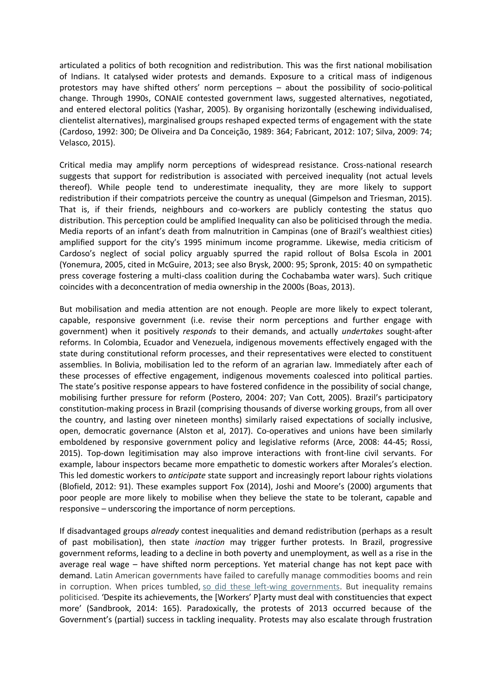articulated a politics of both recognition and redistribution. This was the first national mobilisation of Indians. It catalysed wider protests and demands. Exposure to a critical mass of indigenous protestors may have shifted others' norm perceptions – about the possibility of socio-political change. Through 1990s, CONAIE contested government laws, suggested alternatives, negotiated, and entered electoral politics (Yashar, 2005). By organising horizontally (eschewing individualised, clientelist alternatives), marginalised groups reshaped expected terms of engagement with the state (Cardoso, 1992: 300; De Oliveira and Da Conceição, 1989: 364; Fabricant, 2012: 107; Silva, 2009: 74; Velasco, 2015).

Critical media may amplify norm perceptions of widespread resistance. Cross-national research suggests that support for redistribution is associated with perceived inequality (not actual levels thereof). While people tend to underestimate inequality, they are more likely to support redistribution if their compatriots perceive the country as unequal (Gimpelson and Triesman, 2015). That is, if their friends, neighbours and co-workers are publicly contesting the status quo distribution. This perception could be amplified Inequality can also be politicised through the media. Media reports of an infant's death from malnutrition in Campinas (one of Brazil's wealthiest cities) amplified support for the city's 1995 minimum income programme. Likewise, media criticism of Cardoso's neglect of social policy arguably spurred the rapid rollout of Bolsa Escola in 2001 (Yonemura, 2005, cited in McGuire, 2013; see also Brysk, 2000: 95; Spronk, 2015: 40 on sympathetic press coverage fostering a multi-class coalition during the Cochabamba water wars). Such critique coincides with a deconcentration of media ownership in the 2000s (Boas, 2013).

But mobilisation and media attention are not enough. People are more likely to expect tolerant, capable, responsive government (i.e. revise their norm perceptions and further engage with government) when it positively *responds* to their demands, and actually *undertakes* sought-after reforms. In Colombia, Ecuador and Venezuela, indigenous movements effectively engaged with the state during constitutional reform processes, and their representatives were elected to constituent assemblies. In Bolivia, mobilisation led to the reform of an agrarian law. Immediately after each of these processes of effective engagement, indigenous movements coalesced into political parties. The state's positive response appears to have fostered confidence in the possibility of social change, mobilising further pressure for reform (Postero, 2004: 207; Van Cott, 2005). Brazil's participatory constitution-making process in Brazil (comprising thousands of diverse working groups, from all over the country, and lasting over nineteen months) similarly raised expectations of socially inclusive, open, democratic governance (Alston et al, 2017). Co-operatives and unions have been similarly emboldened by responsive government policy and legislative reforms (Arce, 2008: 44-45; Rossi, 2015). Top-down legitimisation may also improve interactions with front-line civil servants. For example, labour inspectors became more empathetic to domestic workers after Morales's election. This led domestic workers to *anticipate* state support and increasingly report labour rights violations (Blofield, 2012: 91). These examples support Fox (2014), Joshi and Moore's (2000) arguments that poor people are more likely to mobilise when they believe the state to be tolerant, capable and responsive – underscoring the importance of norm perceptions.

If disadvantaged groups *already* contest inequalities and demand redistribution (perhaps as a result of past mobilisation), then state *inaction* may trigger further protests. In Brazil, progressive government reforms, leading to a decline in both poverty and unemployment, as well as a rise in the average real wage – have shifted norm perceptions. Yet material change has not kept pace with demand. Latin American governments have failed to carefully manage commodities booms and rein in corruption. When prices tumbled, [so did these left-wing governments.](https://www.wsj.com/articles/a-populist-pink-tide-is-ebbing-in-south-america-argentine-vote-suggests-1448326259) But inequality remains politicised. 'Despite its achievements, the [Workers' P]arty must deal with constituencies that expect more' (Sandbrook, 2014: 165). Paradoxically, the protests of 2013 occurred because of the Government's (partial) success in tackling inequality. Protests may also escalate through frustration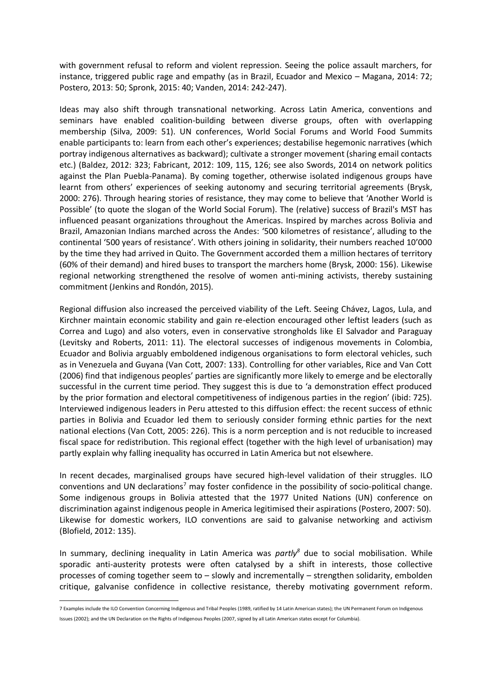with government refusal to reform and violent repression. Seeing the police assault marchers, for instance, triggered public rage and empathy (as in Brazil, Ecuador and Mexico – Magana, 2014: 72; Postero, 2013: 50; Spronk, 2015: 40; Vanden, 2014: 242-247).

Ideas may also shift through transnational networking. Across Latin America, conventions and seminars have enabled coalition-building between diverse groups, often with overlapping membership (Silva, 2009: 51). UN conferences, World Social Forums and World Food Summits enable participants to: learn from each other's experiences; destabilise hegemonic narratives (which portray indigenous alternatives as backward); cultivate a stronger movement (sharing email contacts etc.) (Baldez, 2012: 323; Fabricant, 2012: 109, 115, 126; see also Swords, 2014 on network politics against the Plan Puebla-Panama). By coming together, otherwise isolated indigenous groups have learnt from others' experiences of seeking autonomy and securing territorial agreements (Brysk, 2000: 276). Through hearing stories of resistance, they may come to believe that 'Another World is Possible' (to quote the slogan of the World Social Forum). The (relative) success of Brazil's MST has influenced peasant organizations throughout the Americas. Inspired by marches across Bolivia and Brazil, Amazonian Indians marched across the Andes: '500 kilometres of resistance', alluding to the continental '500 years of resistance'. With others joining in solidarity, their numbers reached 10'000 by the time they had arrived in Quito. The Government accorded them a million hectares of territory (60% of their demand) and hired buses to transport the marchers home (Brysk, 2000: 156). Likewise regional networking strengthened the resolve of women anti-mining activists, thereby sustaining commitment (Jenkins and Rondón, 2015).

Regional diffusion also increased the perceived viability of the Left. Seeing Chávez, Lagos, Lula, and Kirchner maintain economic stability and gain re-election encouraged other leftist leaders (such as Correa and Lugo) and also voters, even in conservative strongholds like El Salvador and Paraguay (Levitsky and Roberts, 2011: 11). The electoral successes of indigenous movements in Colombia, Ecuador and Bolivia arguably emboldened indigenous organisations to form electoral vehicles, such as in Venezuela and Guyana (Van Cott, 2007: 133). Controlling for other variables, Rice and Van Cott (2006) find that indigenous peoples' parties are significantly more likely to emerge and be electorally successful in the current time period. They suggest this is due to 'a demonstration effect produced by the prior formation and electoral competitiveness of indigenous parties in the region' (ibid: 725). Interviewed indigenous leaders in Peru attested to this diffusion effect: the recent success of ethnic parties in Bolivia and Ecuador led them to seriously consider forming ethnic parties for the next national elections (Van Cott, 2005: 226). This is a norm perception and is not reducible to increased fiscal space for redistribution. This regional effect (together with the high level of urbanisation) may partly explain why falling inequality has occurred in Latin America but not elsewhere.

In recent decades, marginalised groups have secured high-level validation of their struggles. ILO conventions and UN declarations<sup>7</sup> may foster confidence in the possibility of socio-political change. Some indigenous groups in Bolivia attested that the 1977 United Nations (UN) conference on discrimination against indigenous people in America legitimised their aspirations (Postero, 2007: 50). Likewise for domestic workers, ILO conventions are said to galvanise networking and activism (Blofield, 2012: 135).

In summary, declining inequality in Latin America was *partly<sup>8</sup>* due to social mobilisation. While sporadic anti-austerity protests were often catalysed by a shift in interests, those collective processes of coming together seem to – slowly and incrementally – strengthen solidarity, embolden critique, galvanise confidence in collective resistance, thereby motivating government reform.

<u>.</u>

<sup>7</sup> Examples include the ILO Convention Concerning Indigenous and Tribal Peoples (1989, ratified by 14 Latin American states); the UN Permanent Forum on Indigenous Issues (2002); and the UN Declaration on the Rights of Indigenous Peoples (2007, signed by all Latin American states except for Columbia).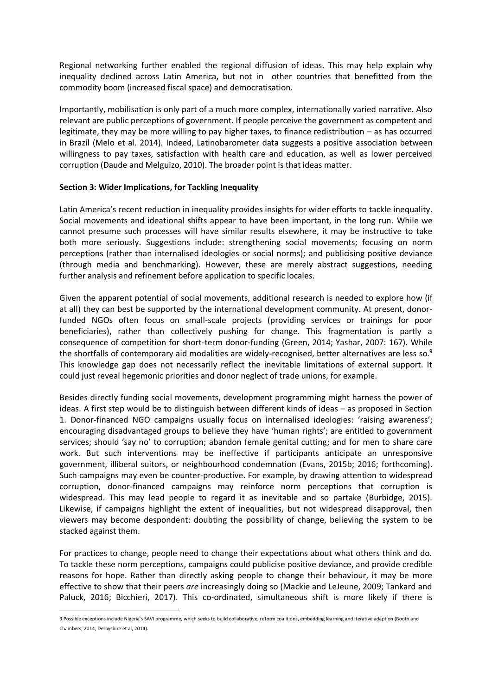Regional networking further enabled the regional diffusion of ideas. This may help explain why inequality declined across Latin America, but not in other countries that benefitted from the commodity boom (increased fiscal space) and democratisation.

Importantly, mobilisation is only part of a much more complex, internationally varied narrative. Also relevant are public perceptions of government. If people perceive the government as competent and legitimate, they may be more willing to pay higher taxes, to finance redistribution – as has occurred in Brazil (Melo et al. 2014). Indeed, Latinobarometer data suggests a positive association between willingness to pay taxes, satisfaction with health care and education, as well as lower perceived corruption (Daude and Melguizo, 2010). The broader point is that ideas matter.

## **Section 3: Wider Implications, for Tackling Inequality**

Latin America's recent reduction in inequality provides insights for wider efforts to tackle inequality. Social movements and ideational shifts appear to have been important, in the long run. While we cannot presume such processes will have similar results elsewhere, it may be instructive to take both more seriously. Suggestions include: strengthening social movements; focusing on norm perceptions (rather than internalised ideologies or social norms); and publicising positive deviance (through media and benchmarking). However, these are merely abstract suggestions, needing further analysis and refinement before application to specific locales.

Given the apparent potential of social movements, additional research is needed to explore how (if at all) they can best be supported by the international development community. At present, donorfunded NGOs often focus on small-scale projects (providing services or trainings for poor beneficiaries), rather than collectively pushing for change. This fragmentation is partly a consequence of competition for short-term donor-funding (Green, 2014; Yashar, 2007: 167). While the shortfalls of contemporary aid modalities are widely-recognised, better alternatives are less so.<sup>9</sup> This knowledge gap does not necessarily reflect the inevitable limitations of external support. It could just reveal hegemonic priorities and donor neglect of trade unions, for example.

Besides directly funding social movements, development programming might harness the power of ideas. A first step would be to distinguish between different kinds of ideas – as proposed in Section 1. Donor-financed NGO campaigns usually focus on internalised ideologies: 'raising awareness'; encouraging disadvantaged groups to believe they have 'human rights'; are entitled to government services; should 'say no' to corruption; abandon female genital cutting; and for men to share care work. But such interventions may be ineffective if participants anticipate an unresponsive government, illiberal suitors, or neighbourhood condemnation (Evans, 2015b; 2016; forthcoming). Such campaigns may even be counter-productive. For example, by drawing attention to widespread corruption, donor-financed campaigns may reinforce norm perceptions that corruption is widespread. This may lead people to regard it as inevitable and so partake (Burbidge, 2015). Likewise, if campaigns highlight the extent of inequalities, but not widespread disapproval, then viewers may become despondent: doubting the possibility of change, believing the system to be stacked against them.

For practices to change, people need to change their expectations about what others think and do. To tackle these norm perceptions, campaigns could publicise positive deviance, and provide credible reasons for hope. Rather than directly asking people to change their behaviour, it may be more effective to show that their peers *are* increasingly doing so (Mackie and LeJeune, 2009; Tankard and Paluck, 2016; Bicchieri, 2017). This co-ordinated, simultaneous shift is more likely if there is

<sup>-</sup>9 Possible exceptions include Nigeria's SAVI programme, which seeks to build collaborative, reform coalitions, embedding learning and iterative adaption (Booth and Chambers, 2014; Derbyshire et al, 2014).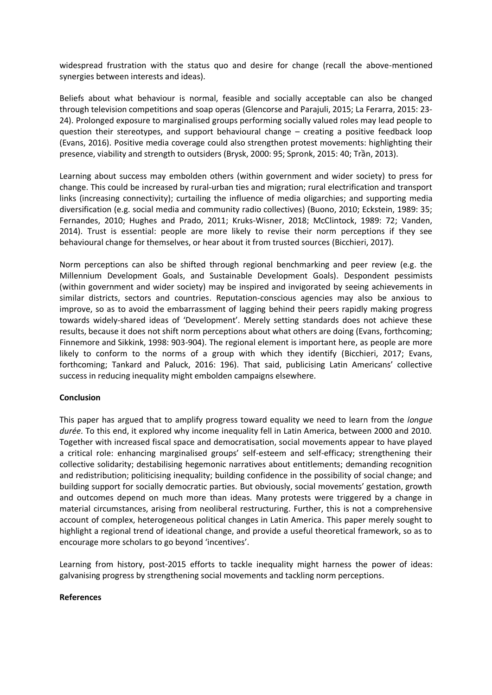widespread frustration with the status quo and desire for change (recall the above-mentioned synergies between interests and ideas).

Beliefs about what behaviour is normal, feasible and socially acceptable can also be changed through television competitions and soap operas (Glencorse and Parajuli, 2015; La Ferarra, 2015: 23- 24). Prolonged exposure to marginalised groups performing socially valued roles may lead people to question their stereotypes, and support behavioural change – creating a positive feedback loop (Evans, 2016). Positive media coverage could also strengthen protest movements: highlighting their presence, viability and strength to outsiders (Brysk, 2000: 95; Spronk, 2015: 40; Trần, 2013).

Learning about success may embolden others (within government and wider society) to press for change. This could be increased by rural-urban ties and migration; rural electrification and transport links (increasing connectivity); curtailing the influence of media oligarchies; and supporting media diversification (e.g. social media and community radio collectives) (Buono, 2010; Eckstein, 1989: 35; Fernandes, 2010; Hughes and Prado, 2011; Kruks-Wisner, 2018; McClintock, 1989: 72; Vanden, 2014). Trust is essential: people are more likely to revise their norm perceptions if they see behavioural change for themselves, or hear about it from trusted sources (Bicchieri, 2017).

Norm perceptions can also be shifted through regional benchmarking and peer review (e.g. the Millennium Development Goals, and Sustainable Development Goals). Despondent pessimists (within government and wider society) may be inspired and invigorated by seeing achievements in similar districts, sectors and countries. Reputation-conscious agencies may also be anxious to improve, so as to avoid the embarrassment of lagging behind their peers rapidly making progress towards widely-shared ideas of 'Development'. Merely setting standards does not achieve these results, because it does not shift norm perceptions about what others are doing (Evans, forthcoming; Finnemore and Sikkink, 1998: 903-904). The regional element is important here, as people are more likely to conform to the norms of a group with which they identify (Bicchieri, 2017; Evans, forthcoming; Tankard and Paluck, 2016: 196). That said, publicising Latin Americans' collective success in reducing inequality might embolden campaigns elsewhere.

## **Conclusion**

This paper has argued that to amplify progress toward equality we need to learn from the *longue durée*. To this end, it explored why income inequality fell in Latin America, between 2000 and 2010. Together with increased fiscal space and democratisation, social movements appear to have played a critical role: enhancing marginalised groups' self-esteem and self-efficacy; strengthening their collective solidarity; destabilising hegemonic narratives about entitlements; demanding recognition and redistribution; politicising inequality; building confidence in the possibility of social change; and building support for socially democratic parties. But obviously, social movements' gestation, growth and outcomes depend on much more than ideas. Many protests were triggered by a change in material circumstances, arising from neoliberal restructuring. Further, this is not a comprehensive account of complex, heterogeneous political changes in Latin America. This paper merely sought to highlight a regional trend of ideational change, and provide a useful theoretical framework, so as to encourage more scholars to go beyond 'incentives'.

Learning from history, post-2015 efforts to tackle inequality might harness the power of ideas: galvanising progress by strengthening social movements and tackling norm perceptions.

#### **References**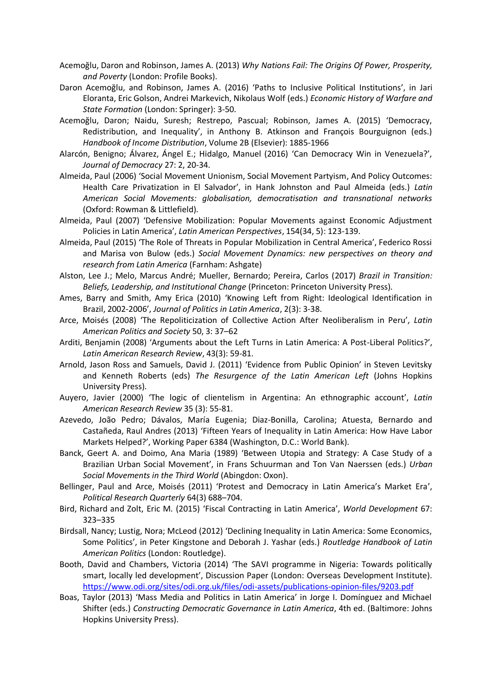- Acemoğlu, Daron and Robinson, James A. (2013) *Why Nations Fail: The Origins Of Power, Prosperity, and Poverty* (London: Profile Books).
- Daron Acemoğlu, and Robinson, James A. (2016) 'Paths to Inclusive Political Institutions', in Jari Eloranta, Eric Golson, Andrei Markevich, Nikolaus Wolf (eds.) *Economic History of Warfare and State Formation* (London: Springer): 3-50.
- Acemoğlu, Daron; Naidu, Suresh; Restrepo, Pascual; Robinson, James A. (2015) 'Democracy, Redistribution, and Inequality', in Anthony B. Atkinson and François Bourguignon (eds.) *Handbook of Income Distribution*, Volume 2B (Elsevier): 1885-1966
- Alarcón, Benigno; Álvarez, Ángel E.; Hidalgo, Manuel (2016) 'Can Democracy Win in Venezuela?', *Journal of Democracy* 27: 2, 20-34.
- Almeida, Paul (2006) 'Social Movement Unionism, Social Movement Partyism, And Policy Outcomes: Health Care Privatization in El Salvador', in Hank Johnston and Paul Almeida (eds.) *Latin American Social Movements: globalisation, democratisation and transnational networks*  (Oxford: Rowman & Littlefield).
- Almeida, Paul (2007) 'Defensive Mobilization: Popular Movements against Economic Adjustment Policies in Latin America', *Latin American Perspectives*, 154(34, 5): 123-139.
- Almeida, Paul (2015) 'The Role of Threats in Popular Mobilization in Central America', Federico Rossi and Marisa von Bulow (eds.) *Social Movement Dynamics: new perspectives on theory and research from Latin America* (Farnham: Ashgate)
- Alston, Lee J.; Melo, Marcus André; Mueller, Bernardo; Pereira, Carlos (2017) *Brazil in Transition: Beliefs, Leadership, and Institutional Change* (Princeton: Princeton University Press).
- Ames, Barry and Smith, Amy Erica (2010) 'Knowing Left from Right: Ideological Identification in Brazil, 2002-2006', *Journal of Politics in Latin America*, 2(3): 3-38.
- Arce, Moisés (2008) 'The Repoliticization of Collective Action After Neoliberalism in Peru', *Latin American Politics and Society* 50, 3: 37–62
- Arditi, Benjamin (2008) 'Arguments about the Left Turns in Latin America: A Post-Liberal Politics?', *Latin American Research Review*, 43(3): 59-81.
- Arnold, Jason Ross and Samuels, David J. (2011) 'Evidence from Public Opinion' in Steven Levitsky and Kenneth Roberts (eds) *The Resurgence of the Latin American Left* (Johns Hopkins University Press).
- Auyero, Javier (2000) 'The logic of clientelism in Argentina: An ethnographic account', *Latin American Research Review* 35 (3): 55-81.
- Azevedo, João Pedro; Dávalos, María Eugenia; Diaz-Bonilla, Carolina; Atuesta, Bernardo and Castañeda, Raul Andres (2013) 'Fifteen Years of Inequality in Latin America: How Have Labor Markets Helped?', Working Paper 6384 (Washington, D.C.: World Bank).
- Banck, Geert A. and Doimo, Ana Maria (1989) 'Between Utopia and Strategy: A Case Study of a Brazilian Urban Social Movement', in Frans Schuurman and Ton Van Naerssen (eds.) *Urban Social Movements in the Third World* (Abingdon: Oxon).
- Bellinger, Paul and Arce, Moisés (2011) 'Protest and Democracy in Latin America's Market Era', *Political Research Quarterly* 64(3) 688–704.
- Bird, Richard and Zolt, Eric M. (2015) 'Fiscal Contracting in Latin America', *World Development* 67: 323–335
- Birdsall, Nancy; Lustig, Nora; McLeod (2012) 'Declining Inequality in Latin America: Some Economics, Some Politics', in Peter Kingstone and Deborah J. Yashar (eds.) *Routledge Handbook of Latin American Politics* (London: Routledge).
- Booth, David and Chambers, Victoria (2014) 'The SAVI programme in Nigeria: Towards politically smart, locally led development', Discussion Paper (London: Overseas Development Institute). <https://www.odi.org/sites/odi.org.uk/files/odi-assets/publications-opinion-files/9203.pdf>
- Boas, Taylor (2013) 'Mass Media and Politics in Latin America' in Jorge I. Domínguez and Michael Shifter (eds.) *Constructing Democratic Governance in Latin America*, 4th ed. (Baltimore: Johns Hopkins University Press).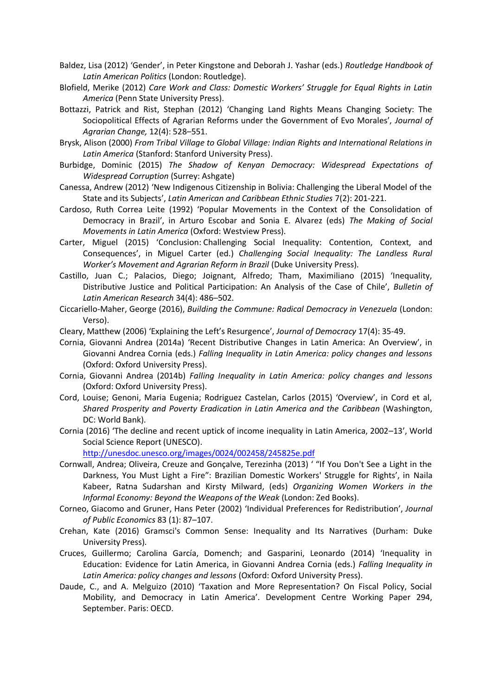- Baldez, Lisa (2012) 'Gender', in Peter Kingstone and Deborah J. Yashar (eds.) *Routledge Handbook of Latin American Politics* (London: Routledge).
- Blofield, Merike (2012) *Care Work and Class: Domestic Workers' Struggle for Equal Rights in Latin America* (Penn State University Press).
- Bottazzi, Patrick and Rist, Stephan (2012) 'Changing Land Rights Means Changing Society: The Sociopolitical Effects of Agrarian Reforms under the Government of Evo Morales', *Journal of Agrarian Change,* 12(4): 528–551.
- Brysk, Alison (2000) *From Tribal Village to Global Village: Indian Rights and International Relations in Latin America* (Stanford: Stanford University Press).
- Burbidge, Dominic (2015) *The Shadow of Kenyan Democracy: Widespread Expectations of Widespread Corruption* (Surrey: Ashgate)
- Canessa, Andrew (2012) 'New Indigenous Citizenship in Bolivia: Challenging the Liberal Model of the State and its Subjects', *Latin American and Caribbean Ethnic Studies* 7(2): 201-221.
- Cardoso, Ruth Correa Leite (1992) 'Popular Movements in the Context of the Consolidation of Democracy in Brazil', in Arturo Escobar and Sonia E. Alvarez (eds) *The Making of Social Movements in Latin America* (Oxford: Westview Press).
- Carter, Miguel (2015) 'Conclusion: Challenging Social Inequality: [Contention,](http://libsta28.lib.cam.ac.uk:2178/highwire_book/ac/precheck?id=dup%3B9780822395065/1/conclusion&view=body&tizra_redirect=http%3A//reader.dukeupress.edu/challenging-social-inequality/442&id_type=pisa&recheck=&book_edition=130732) Context, and [Consequences](http://libsta28.lib.cam.ac.uk:2178/highwire_book/ac/precheck?id=dup%3B9780822395065/1/conclusion&view=body&tizra_redirect=http%3A//reader.dukeupress.edu/challenging-social-inequality/442&id_type=pisa&recheck=&book_edition=130732)', in Miguel Carter (ed.) *Challenging Social Inequality: The Landless Rural Worker's Movement and Agrarian Reform in Brazil* (Duke University Press).
- Castillo, Juan C.; Palacios, Diego; Joignant, Alfredo; Tham, Maximiliano (2015) 'Inequality, Distributive Justice and Political Participation: An Analysis of the Case of Chile', *Bulletin of Latin American Research* 34(4): 486–502.
- Ciccariello-Maher, George (2016), *Building the Commune: Radical Democracy in Venezuela* (London: Verso).
- Cleary, Matthew (2006) 'Explaining the Left's Resurgence', *Journal of Democracy* 17(4): 35-49.
- Cornia, Giovanni Andrea (2014a) 'Recent Distributive Changes in Latin America: An Overview', in Giovanni Andrea Cornia (eds.) *Falling Inequality in Latin America: policy changes and lessons*  (Oxford: Oxford University Press).
- Cornia, Giovanni Andrea (2014b) *Falling Inequality in Latin America: policy changes and lessons*  (Oxford: Oxford University Press).
- Cord, Louise; Genoni, Maria Eugenia; Rodriguez Castelan, Carlos (2015) 'Overview', in Cord et al, *Shared Prosperity and Poverty Eradication in Latin America and the Caribbean* (Washington, DC: World Bank).
- Cornia (2016) 'The decline and recent uptick of income inequality in Latin America, 2002–13', World Social Science Report (UNESCO).

<http://unesdoc.unesco.org/images/0024/002458/245825e.pdf>

- Cornwall, Andrea; Oliveira, Creuze and Gonçalve, Terezinha (2013) ' "If You Don't See a Light in the Darkness, You Must Light a Fire": Brazilian Domestic Workers' Struggle for Rights', in Naila Kabeer, Ratna Sudarshan and Kirsty Milward, (eds) *Organizing Women Workers in the Informal Economy: Beyond the Weapons of the Weak* (London: Zed Books).
- Corneo, Giacomo and Gruner, Hans Peter (2002) 'Individual Preferences for Redistribution', *Journal of Public Economics* 83 (1): 87–107.
- Crehan, Kate (2016) Gramsci's Common Sense: Inequality and Its Narratives (Durham: Duke University Press).
- Cruces, Guillermo; Carolina García, Domench; and Gasparini, Leonardo (2014) 'Inequality in Education: Evidence for Latin America, in Giovanni Andrea Cornia (eds.) *Falling Inequality in Latin America: policy changes and lessons* (Oxford: Oxford University Press).
- Daude, C., and A. Melguizo (2010) 'Taxation and More Representation? On Fiscal Policy, Social Mobility, and Democracy in Latin America'. Development Centre Working Paper 294, September. Paris: OECD.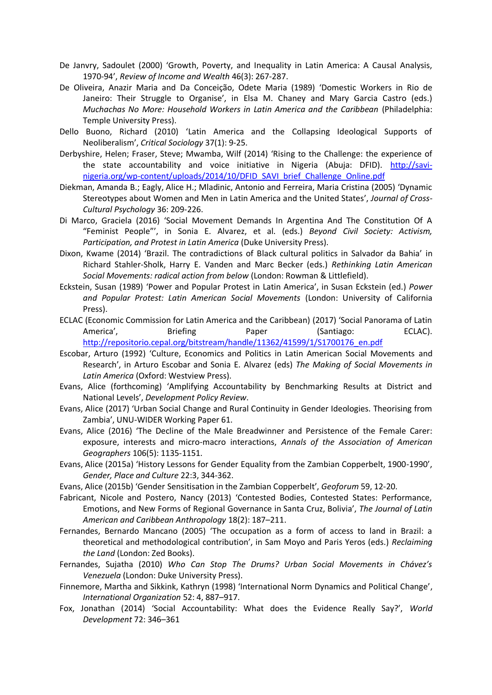- De Janvry, Sadoulet (2000) 'Growth, Poverty, and Inequality in Latin America: A Causal Analysis, 1970-94', *Review of Income and Wealth* 46(3): 267-287.
- De Oliveira, Anazir Maria and Da Conceição, Odete Maria (1989) 'Domestic Workers in Rio de Janeiro: Their Struggle to Organise', in Elsa M. Chaney and Mary Garcia Castro (eds.) *Muchachas No More: Household Workers in Latin America and the Caribbean* (Philadelphia: Temple University Press).
- Dello Buono, Richard (2010) 'Latin America and the Collapsing Ideological Supports of Neoliberalism', *Critical Sociology* 37(1): 9-25.
- Derbyshire, Helen; Fraser, Steve; Mwamba, Wilf (2014) 'Rising to the Challenge: the experience of the state accountability and voice initiative in Nigeria (Abuja: DFID). [http://savi](http://savi-nigeria.org/wp-content/uploads/2014/10/DFID_SAVI_brief_Challenge_Online.pdf)[nigeria.org/wp-content/uploads/2014/10/DFID\\_SAVI\\_brief\\_Challenge\\_Online.pdf](http://savi-nigeria.org/wp-content/uploads/2014/10/DFID_SAVI_brief_Challenge_Online.pdf)
- Diekman, Amanda B.; Eagly, Alice H.; Mladinic, Antonio and Ferreira, Maria Cristina (2005) 'Dynamic Stereotypes about Women and Men in Latin America and the United States', *Journal of Cross-Cultural Psychology* 36: 209-226.
- Di Marco, Graciela (2016) 'Social Movement Demands In Argentina And The Constitution Of A "Feminist People"', in Sonia E. Alvarez, et al. (eds.) *Beyond Civil Society: Activism, Participation, and Protest in Latin America* (Duke University Press).
- Dixon, Kwame (2014) 'Brazil. The contradictions of Black cultural politics in Salvador da Bahia' in Richard Stahler-Sholk, Harry E. Vanden and Marc Becker (eds.) *Rethinking Latin American Social Movements: radical action from below* (London: Rowman & Littlefield).
- Eckstein, Susan (1989) 'Power and Popular Protest in Latin America', in Susan Eckstein (ed.) *Power and Popular Protest: Latin American Social Movements* (London: University of California Press).
- ECLAC (Economic Commission for Latin America and the Caribbean) (2017) 'Social Panorama of Latin America', Briefing Paper (Santiago: ECLAC). [http://repositorio.cepal.org/bitstream/handle/11362/41599/1/S1700176\\_en.pdf](http://repositorio.cepal.org/bitstream/handle/11362/41599/1/S1700176_en.pdf)
- Escobar, Arturo (1992) 'Culture, Economics and Politics in Latin American Social Movements and Research', in Arturo Escobar and Sonia E. Alvarez (eds) *The Making of Social Movements in Latin America* (Oxford: Westview Press).
- Evans, Alice (forthcoming) 'Amplifying Accountability by Benchmarking Results at District and National Levels', *Development Policy Review*.
- Evans, Alice (2017) 'Urban Social Change and Rural Continuity in Gender Ideologies. Theorising from Zambia', UNU-WIDER Working Paper 61.
- Evans, Alice (2016) 'The Decline of the Male Breadwinner and Persistence of the Female Carer: exposure, interests and micro-macro interactions, *Annals of the Association of American Geographers* 106(5): 1135-1151.
- Evans, Alice (2015a) 'History Lessons for Gender Equality from the Zambian Copperbelt, 1900-1990', *Gender, Place and Culture* 22:3, 344-362.
- Evans, Alice (2015b) 'Gender Sensitisation in the Zambian Copperbelt', *Geoforum* 59, 12-20.
- Fabricant, Nicole and Postero, Nancy (2013) 'Contested Bodies, Contested States: Performance, Emotions, and New Forms of Regional Governance in Santa Cruz, Bolivia', *The Journal of Latin American and Caribbean Anthropology* 18(2): 187–211.
- Fernandes, Bernardo Mancano (2005) 'The occupation as a form of access to land in Brazil: a theoretical and methodological contribution', in Sam Moyo and Paris Yeros (eds.) *Reclaiming the Land* (London: Zed Books).
- Fernandes, Sujatha (2010) *Who Can Stop The Drums? Urban Social Movements in Chávez's Venezuela* (London: Duke University Press).
- Finnemore, Martha and Sikkink, Kathryn (1998) 'International Norm Dynamics and Political Change', *International Organization* 52: 4, 887–917.
- Fox, Jonathan (2014) 'Social Accountability: What does the Evidence Really Say?', *World Development* 72: 346–361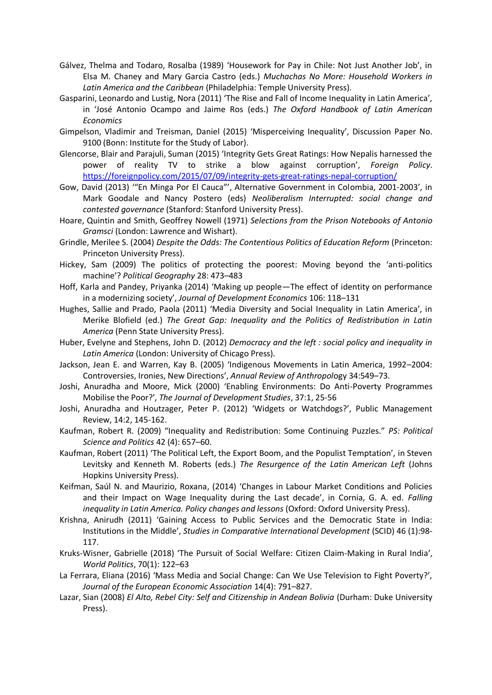- Gálvez, Thelma and Todaro, Rosalba (1989) 'Housework for Pay in Chile: Not Just Another Job', in Elsa M. Chaney and Mary Garcia Castro (eds.) *Muchachas No More: Household Workers in Latin America and the Caribbean* (Philadelphia: Temple University Press).
- Gasparini, Leonardo and Lustig, Nora (2011) 'The Rise and Fall of Income Inequality in Latin America', in 'José Antonio Ocampo and Jaime Ros (eds.) *The Oxford Handbook of Latin American Economics*
- Gimpelson, Vladimir and Treisman, Daniel (2015) 'Misperceiving Inequality', Discussion Paper No. 9100 (Bonn: Institute for the Study of Labor).
- Glencorse, Blair and Parajuli, Suman (2015) 'Integrity Gets Great Ratings: How Nepalis harnessed the power of reality TV to strike a blow against corruption', *Foreign Policy*. <https://foreignpolicy.com/2015/07/09/integrity-gets-great-ratings-nepal-corruption/>
- Gow, David (2013) '"En Minga Por El Cauca"', Alternative Government in Colombia, 2001-2003', in Mark Goodale and Nancy Postero (eds) *Neoliberalism Interrupted: social change and contested governance* (Stanford: Stanford University Press).
- Hoare, Quintin and Smith, Geoffrey Nowell (1971) *Selections from the Prison Notebooks of Antonio Gramsci* (London: Lawrence and Wishart).
- Grindle, Merilee S. (2004) *Despite the Odds: The Contentious Politics of Education Reform* (Princeton: Princeton University Press).
- Hickey, Sam (2009) The politics of protecting the poorest: Moving beyond the 'anti-politics machine'? *Political Geography* 28: 473–483
- Hoff, Karla and Pandey, Priyanka (2014) 'Making up people—The effect of identity on performance in a modernizing society', *Journal of Development Economics* 106: 118–131
- Hughes, Sallie and Prado, Paola (2011) 'Media Diversity and Social Inequality in Latin America', in Merike Blofield (ed.) *The Great Gap: Inequality and the Politics of Redistribution in Latin America* (Penn State University Press).
- Huber, Evelyne and Stephens, John D. (2012) *Democracy and the left : social policy and inequality in Latin America* (London: University of Chicago Press).
- Jackson, Jean E. and Warren, Kay B. (2005) 'Indigenous Movements in Latin America, 1992–2004: Controversies, Ironies, New Directions', *Annual Review of Anthropol*ogy 34:549–73.
- Joshi, Anuradha and Moore, Mick (2000) 'Enabling Environments: Do Anti-Poverty Programmes Mobilise the Poor?', *The Journal of Development Studies*, 37:1, 25-56
- Joshi, Anuradha and Houtzager, Peter P. (2012) 'Widgets or Watchdogs?', Public Management Review, 14:2, 145-162.
- Kaufman, Robert R. (2009) "Inequality and Redistribution: Some Continuing Puzzles." *PS: Political Science and Politics* 42 (4): 657–60.
- Kaufman, Robert (2011) 'The Political Left, the Export Boom, and the Populist Temptation', in Steven Levitsky and Kenneth M. Roberts (eds.) *The Resurgence of the Latin American Left* (Johns Hopkins University Press).
- Keifman, Saúl N. and Maurizio, Roxana, (2014) 'Changes in Labour Market Conditions and Policies and their Impact on Wage Inequality during the Last decade', in Cornia, G. A. ed. *Falling inequality in Latin America. Policy changes and lessons* (Oxford: Oxford University Press).
- Krishna, Anirudh (2011) 'Gaining Access to Public Services and the Democratic State in India: Institutions in the Middle', *Studies in Comparative International Development* (SCID) 46 (1):98- 117.
- Kruks-Wisner, Gabrielle (2018) 'The Pursuit of Social Welfare: Citizen Claim-Making in Rural India', *World Politics*, 70(1): 122–63
- La Ferrara, Eliana (2016) 'Mass Media and Social Change: Can We Use Television to Fight Poverty?', *Journal of the European Economic Association* 14(4): 791–827.
- Lazar, Sian (2008) *El Alto, Rebel City: Self and Citizenship in Andean Bolivia* (Durham: Duke University Press).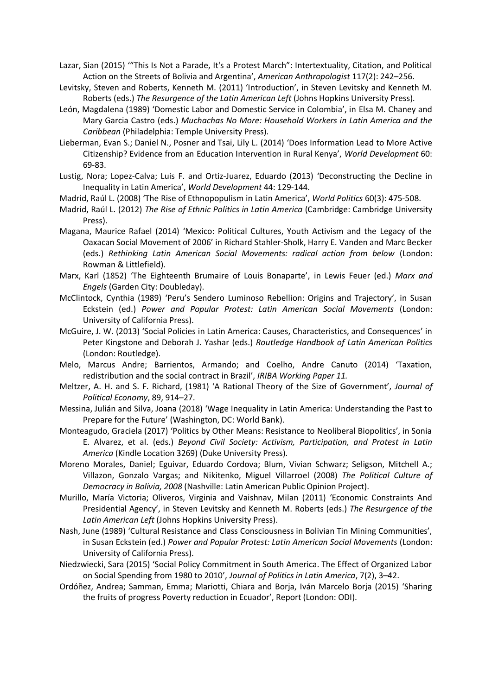Lazar, Sian (2015) '"This Is Not a Parade, It's a Protest March": Intertextuality, Citation, and Political Action on the Streets of Bolivia and Argentina', *American Anthropologist* 117(2): 242–256.

Levitsky, Steven and Roberts, Kenneth M. (2011) 'Introduction', in Steven Levitsky and Kenneth M. Roberts (eds.) *The Resurgence of the Latin American Left* (Johns Hopkins University Press).

León, Magdalena (1989) 'Domestic Labor and Domestic Service in Colombia', in Elsa M. Chaney and Mary Garcia Castro (eds.) *Muchachas No More: Household Workers in Latin America and the Caribbean* (Philadelphia: Temple University Press).

Lieberman, Evan S.; Daniel N., Posner and Tsai, Lily L. (2014) 'Does Information Lead to More Active Citizenship? Evidence from an Education Intervention in Rural Kenya', *World Development* 60: 69-83.

Lustig, Nora; Lopez-Calva; Luis F. and Ortiz-Juarez, Eduardo (2013) 'Deconstructing the Decline in Inequality in Latin America', *World Development* 44: 129-144.

Madrid, Raúl L. (2008) 'The Rise of Ethnopopulism in Latin America', *World Politics* 60(3): 475-508.

- Madrid, Raúl L. (2012) *The Rise of Ethnic Politics in Latin America* (Cambridge: Cambridge University Press).
- Magana, Maurice Rafael (2014) 'Mexico: Political Cultures, Youth Activism and the Legacy of the Oaxacan Social Movement of 2006' in Richard Stahler-Sholk, Harry E. Vanden and Marc Becker (eds.) *Rethinking Latin American Social Movements: radical action from below* (London: Rowman & Littlefield).
- Marx, Karl (1852) 'The Eighteenth Brumaire of Louis Bonaparte', in Lewis Feuer (ed.) *Marx and Engels* (Garden City: Doubleday).
- McClintock, Cynthia (1989) 'Peru's Sendero Luminoso Rebellion: Origins and Trajectory', in Susan Eckstein (ed.) *Power and Popular Protest: Latin American Social Movements* (London: University of California Press).
- McGuire, J. W. (2013) 'Social Policies in Latin America: Causes, Characteristics, and Consequences' in Peter Kingstone and Deborah J. Yashar (eds.) *Routledge Handbook of Latin American Politics*  (London: Routledge).
- Melo, Marcus Andre; Barrientos, Armando; and Coelho, Andre Canuto (2014) 'Taxation, redistribution and the social contract in Brazil', *IRIBA Working Paper 11.*
- Meltzer, A. H. and S. F. Richard, (1981) 'A Rational Theory of the Size of Government', *Journal of Political Economy*, 89, 914–27.
- Messina, Julián and Silva, Joana (2018) 'Wage Inequality in Latin America: Understanding the Past to Prepare for the Future' (Washington, DC: World Bank).
- Monteagudo, Graciela (2017) 'Politics by Other Means: Resistance to Neoliberal Biopolitics', in Sonia E. Alvarez, et al. (eds.) *Beyond Civil Society: Activism, Participation, and Protest in Latin America* (Kindle Location 3269) (Duke University Press).
- Moreno Morales, Daniel; Eguivar, Eduardo Cordova; Blum, Vivian Schwarz; Seligson, Mitchell A.; Villazon, Gonzalo Vargas; and Nikitenko, Miguel Villarroel (2008) *The Political Culture of Democracy in Bolivia, 2008* (Nashville: Latin American Public Opinion Project).
- Murillo, María Victoria; Oliveros, Virginia and Vaishnav, Milan (2011) 'Economic Constraints And Presidential Agency', in Steven Levitsky and Kenneth M. Roberts (eds.) *The Resurgence of the Latin American Left* (Johns Hopkins University Press).
- Nash, June (1989) 'Cultural Resistance and Class Consciousness in Bolivian Tin Mining Communities', in Susan Eckstein (ed.) *Power and Popular Protest: Latin American Social Movements* (London: University of California Press).
- Niedzwiecki, Sara (2015) 'Social Policy Commitment in South America. The Effect of Organized Labor on Social Spending from 1980 to 2010', *Journal of Politics in Latin America*, 7(2), 3–42.
- Ordóñez, Andrea; Samman, Emma; Mariotti, Chiara and Borja, Iván Marcelo Borja (2015) 'Sharing the fruits of progress Poverty reduction in Ecuador', Report (London: ODI).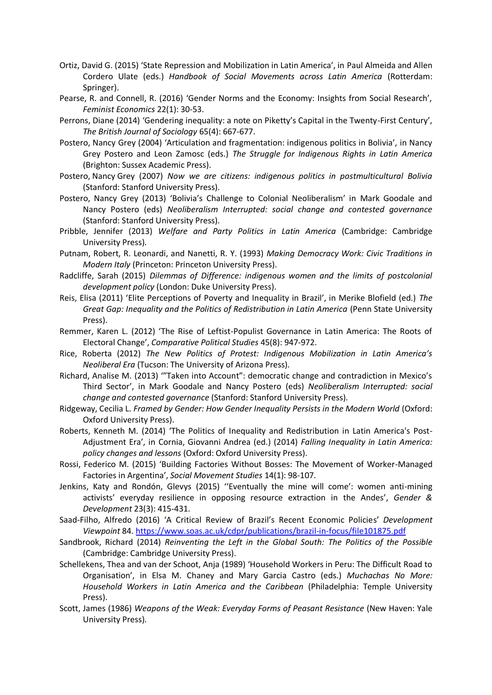- Ortiz, David G. (2015) 'State Repression and Mobilization in Latin America', in Paul Almeida and Allen Cordero Ulate (eds.) *Handbook of Social Movements across Latin America* (Rotterdam: Springer).
- Pearse, R. and Connell, R. (2016) 'Gender Norms and the Economy: Insights from Social Research', *Feminist Economics* 22(1): 30-53.
- Perrons, Diane (2014) 'Gendering inequality: a note on Piketty's Capital in the Twenty-First Century', *The British Journal of Sociology* 65(4): 667-677.
- Postero, Nancy Grey (2004) 'Articulation and fragmentation: indigenous politics in Bolivia', in Nancy Grey Postero and Leon Zamosc (eds.) *The Struggle for Indigenous Rights in Latin America*  (Brighton: Sussex Academic Press).
- Postero, Nancy [Grey \(2007\)](javascript:ABLFrame.Search() *[Now we are citizens: indigenous politics in postmulticultural Bolivia](http://search.lib.cam.ac.uk/?itemid=|cambrdgedb|4349544)*  [\(S](http://search.lib.cam.ac.uk/?itemid=|cambrdgedb|4349544)tanford: Stanford University Press).
- Postero, Nancy Grey (2013) 'Bolivia's Challenge to Colonial Neoliberalism' in Mark Goodale and Nancy Postero (eds) *Neoliberalism Interrupted: social change and contested governance*  (Stanford: Stanford University Press).
- Pribble, Jennifer (2013) *Welfare and Party Politics in Latin America* (Cambridge: Cambridge University Press).
- Putnam, Robert, R. Leonardi, and Nanetti, R. Y. (1993) *Making Democracy Work: Civic Traditions in Modern Italy* (Princeton: Princeton University Press).
- Radcliffe, Sarah (2015) *Dilemmas of Difference: indigenous women and the limits of postcolonial development policy* (London: Duke University Press).
- Reis, Elisa (2011) 'Elite Perceptions of Poverty and Inequality in Brazil', in Merike Blofield (ed.) *The*  Great Gap: Inequality and the Politics of Redistribution in Latin America (Penn State University Press).
- Remmer, Karen L. (2012) 'The Rise of Leftist-Populist Governance in Latin America: The Roots of Electoral Change', *Comparative Political Studies* 45(8): 947-972.
- Rice, Roberta (2012) *The New Politics of Protest: Indigenous Mobilization in Latin America's Neoliberal Era* (Tucson: The University of Arizona Press).
- Richard, Analise M. (2013) '"Taken into Account": democratic change and contradiction in Mexico's Third Sector', in Mark Goodale and Nancy Postero (eds) *Neoliberalism Interrupted: social change and contested governance* (Stanford: Stanford University Press).
- Ridgeway, Cecilia L. *Framed by Gender: How Gender Inequality Persists in the Modern World* (Oxford: Oxford University Press).
- Roberts, Kenneth M. (2014) 'The Politics of Inequality and Redistribution in Latin America's Post-Adjustment Era', in Cornia, Giovanni Andrea (ed.) (2014) *Falling Inequality in Latin America: policy changes and lessons* (Oxford: Oxford University Press).
- Rossi, Federico M. (2015) 'Building Factories Without Bosses: The Movement of Worker-Managed Factories in Argentina', *Social Movement Studies* 14(1): 98-107.
- Jenkins, Katy and Rondón, Glevys (2015) ''Eventually the mine will come': women anti-mining activists' everyday resilience in opposing resource extraction in the Andes', *Gender & Development* 23(3): 415-431.
- Saad-Filho, Alfredo (2016) 'A Critical Review of Brazil's Recent Economic Policies' *Development Viewpoint* 84.<https://www.soas.ac.uk/cdpr/publications/brazil-in-focus/file101875.pdf>
- Sandbrook, Richard (2014) *Reinventing the Left in the Global South: The Politics of the Possible*  (Cambridge: Cambridge University Press).
- Schellekens, Thea and van der Schoot, Anja (1989) 'Household Workers in Peru: The Difficult Road to Organisation', in Elsa M. Chaney and Mary Garcia Castro (eds.) *Muchachas No More: Household Workers in Latin America and the Caribbean* (Philadelphia: Temple University Press).
- Scott, James (1986) *Weapons of the Weak: Everyday Forms of Peasant Resistance* (New Haven: Yale University Press).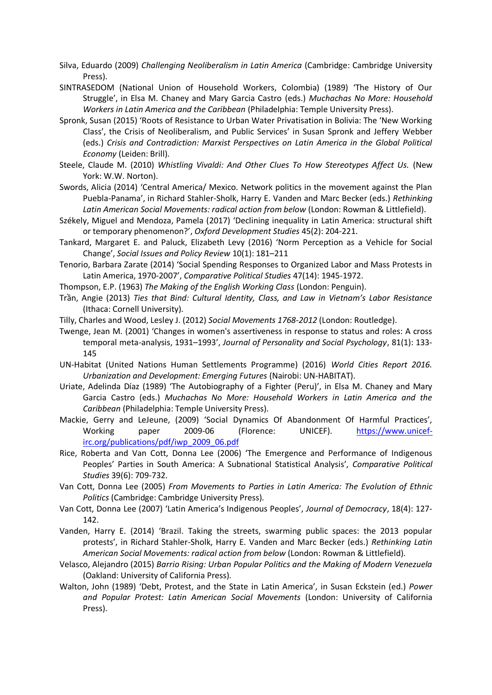- Silva, Eduardo (2009) *Challenging Neoliberalism in Latin America* (Cambridge: Cambridge University Press).
- SINTRASEDOM (National Union of Household Workers, Colombia) (1989) 'The History of Our Struggle', in Elsa M. Chaney and Mary Garcia Castro (eds.) *Muchachas No More: Household Workers in Latin America and the Caribbean* (Philadelphia: Temple University Press).
- Spronk, Susan (2015) 'Roots of Resistance to Urban Water Privatisation in Bolivia: The 'New Working Class', the Crisis of Neoliberalism, and Public Services' in Susan Spronk and Jeffery Webber (eds.) *Crisis and Contradiction: Marxist Perspectives on Latin America in the Global Political Economy* (Leiden: Brill).
- Steele, Claude M. (2010) *Whistling Vivaldi: And Other Clues To How Stereotypes Affect Us.* (New York: W.W. Norton).
- Swords, Alicia (2014) 'Central America/ Mexico. Network politics in the movement against the Plan Puebla-Panama', in Richard Stahler-Sholk, Harry E. Vanden and Marc Becker (eds.) *Rethinking Latin American Social Movements: radical action from below* (London: Rowman & Littlefield).
- Székely, Miguel and Mendoza, Pamela (2017) 'Declining inequality in Latin America: structural shift or temporary phenomenon?', *Oxford Development Studies* 45(2): 204-221.
- Tankard, Margaret E. and Paluck, Elizabeth Levy (2016) 'Norm Perception as a Vehicle for Social Change', *Social Issues and Policy Review* 10(1): 181–211
- Tenorio, Barbara Zarate (2014) 'Social Spending Responses to Organized Labor and Mass Protests in Latin America, 1970-2007', *Comparative Political Studies* 47(14): 1945-1972.
- Thompson, E.P. (1963) *The Making of the English Working Class* (London: Penguin).
- Trần, Angie (2013) *Ties that Bind: Cultural Identity, Class, and Law in Vietnam's Labor Resistance* (Ithaca: Cornell University).
- Tilly, Charles and Wood, Lesley J. (2012) *Social Movements 1768-2012* (London: Routledge).
- Twenge, Jean M. (2001) 'Changes in women's assertiveness in response to status and roles: A cross temporal meta-analysis, 1931–1993', *Journal of Personality and Social Psychology*, 81(1): 133- 145
- UN-Habitat (United Nations Human Settlements Programme) (2016) *World Cities Report 2016. Urbanization and Development: Emerging Futures* (Nairobi: UN-HABITAT).
- Uriate, Adelinda Díaz (1989) 'The Autobiography of a Fighter (Peru)', in Elsa M. Chaney and Mary Garcia Castro (eds.) *Muchachas No More: Household Workers in Latin America and the Caribbean* (Philadelphia: Temple University Press).
- Mackie, Gerry and LeJeune, (2009) 'Social Dynamics Of Abandonment Of Harmful Practices', Working paper 2009-06 (Florence: UNICEF). [https://www.unicef](https://www.unicef-irc.org/publications/pdf/iwp_2009_06.pdf)[irc.org/publications/pdf/iwp\\_2009\\_06.pdf](https://www.unicef-irc.org/publications/pdf/iwp_2009_06.pdf)
- Rice, Roberta and Van Cott, Donna Lee (2006) 'The Emergence and Performance of Indigenous Peoples' Parties in South America: A Subnational Statistical Analysis', *Comparative Political Studies* 39(6): 709-732.
- Van Cott, Donna Lee (2005) *From Movements to Parties in Latin America: The Evolution of Ethnic Politics* (Cambridge: Cambridge University Press).
- Van Cott, Donna Lee (2007) 'Latin America's Indigenous Peoples', *Journal of Democracy*, 18(4): 127- 142.
- Vanden, Harry E. (2014) 'Brazil. Taking the streets, swarming public spaces: the 2013 popular protests', in Richard Stahler-Sholk, Harry E. Vanden and Marc Becker (eds.) *Rethinking Latin American Social Movements: radical action from below* (London: Rowman & Littlefield).
- Velasco, Alejandro (2015) *Barrio Rising: Urban Popular Politics and the Making of Modern Venezuela*  (Oakland: University of California Press).
- Walton, John (1989) 'Debt, Protest, and the State in Latin America', in Susan Eckstein (ed.) *Power and Popular Protest: Latin American Social Movements* (London: University of California Press).